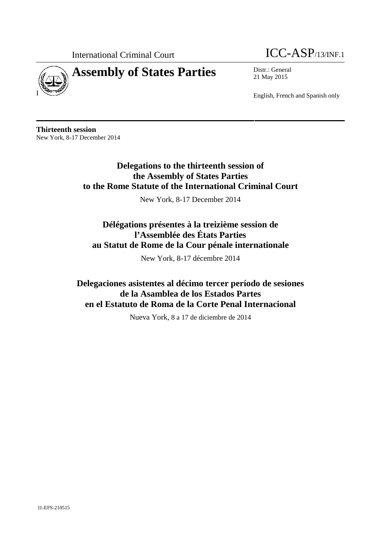

# **Assembly of States Parties** Distr.: General



21 May 2015

English, French and Spanish only

**Thirteenth session** New York, 8-17 December 2014

> **Delegations to the thirteenth session of the Assembly of States Parties to the Rome Statute of the International Criminal Court**

> > New York, 8-17 December 2014

# **Délégations présentes à la treizième session de l'Assemblée des États Parties au Statut de Rome de la Cour pénale internationale**

New York, 8-17 décembre 2014

**Delegaciones asistentes al décimo tercer período de sesiones de la Asamblea de los Estados Partes en el Estatuto de Roma de la Corte Penal Internacional**

Nueva York, 8 a 17 de diciembre de 2014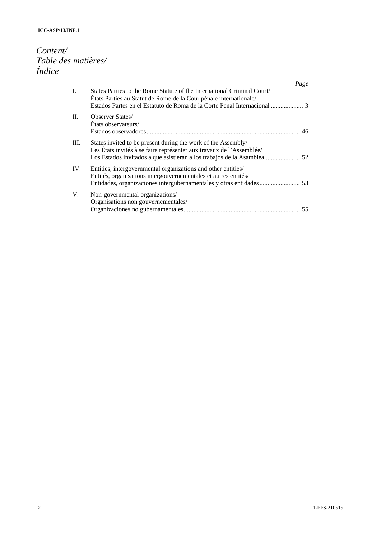# *Content/ Table des matières/ Índice*

|                |                                                                                                                                              | Page |
|----------------|----------------------------------------------------------------------------------------------------------------------------------------------|------|
| $\mathbf{I}$ . | States Parties to the Rome Statute of the International Criminal Court/<br>États Parties au Statut de Rome de la Cour pénale internationale/ |      |
| $\Pi$ .        | <b>Observer States/</b><br>Etats observateurs/                                                                                               |      |
| III.           | States invited to be present during the work of the Assembly/<br>Les États invités à se faire représenter aux travaux de l'Assemblée/        |      |
| IV.            | Entities, intergovernmental organizations and other entities/<br>Entités, organisations intergouvernementales et autres entités/             |      |
| V.             | Non-governmental organizations/<br>Organisations non gouvernementales/                                                                       |      |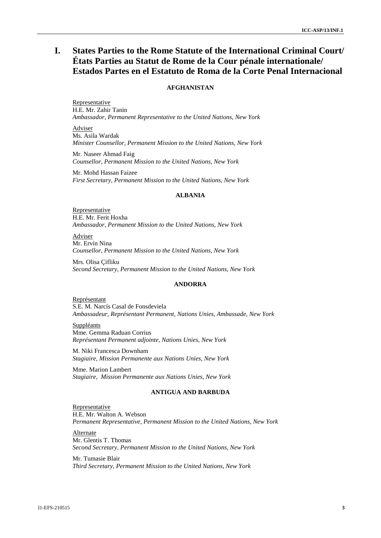# **I. States Parties to the Rome Statute of the International Criminal Court/ États Parties au Statut de Rome de la Cour pénale internationale/ Estados Partes en el Estatuto de Roma de la Corte Penal Internacional**

# **AFGHANISTAN**

Representative H.E. Mr. Zahir Tanin *Ambassador, Permanent Representative to the United Nations, New York*

Adviser Ms. Asila Wardak *Minister Counsellor, Permanent Mission to the United Nations, New York*

Mr. Naseer Ahmad Faig *Counsellor, Permanent Mission to the United Nations, New York*

Mr. Mohd Hassan Faizee *First Secretary, Permanent Mission to the United Nations, New York*

#### **ALBANIA**

Representative H.E. Mr. Ferit Hoxha *Ambassador, Permanent Mission to the United Nations, New York*

Adviser Mr. Ervin Nina *Counsellor, Permanent Mission to the United Nations, New York*

Mrs. Olisa Çifliku *Second Secretary, Permanent Mission to the United Nations, New York*

#### **ANDORRA**

Représentant S.E. M. Narcís Casal de Fonsdeviela *Ambassadeur, Représentant Permanent, Nations Unies, Ambassade, New York*

Suppléants Mme. Gemma Raduan Corrius *Représentant Permanent adjointe, Nations Unies, New York*

M. Niki Francesca Downham *Stagiaire, Mission Permanente aux Nations Unies, New York*

Mme. Marion Lambert *Stagiaire, Mission Permanente aux Nations Unies, New York*

#### **ANTIGUA AND BARBUDA**

Representative H.E. Mr. Walton A. Webson *Permanent Representative, Permanent Mission to the United Nations, New York*

Alternate Mr. Glentis T. Thomas *Second Secretary, Permanent Mission to the United Nations, New York*

Mr. Tumasie Blair *Third Secretary, Permanent Mission to the United Nations, New York*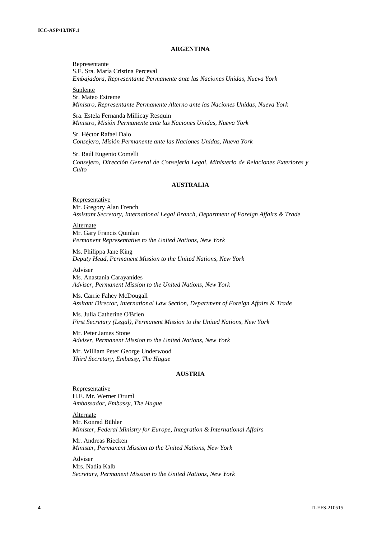#### **ARGENTINA**

Representante S.E. Sra. María Cristina Perceval *Embajadora, Representante Permanente ante las Naciones Unidas, Nueva York*

Suplente Sr. Mateo Estreme

*Ministro, Representante Permanente Alterno ante las Naciones Unidas, Nueva York*

Sra. Estela Fernanda Millicay Resquin *Ministro, Misión Permanente ante las Naciones Unidas, Nueva York*

Sr. Héctor Rafael Dalo *Consejero, Misión Permanente ante las Naciones Unidas, Nueva York*

Sr. Raúl Eugenio Comelli *Consejero, Dirección General de Consejería Legal, Ministerio de Relaciones Exteriores y Culto*

### **AUSTRALIA**

Representative Mr. Gregory Alan French *Assistant Secretary, International Legal Branch, Department of Foreign Affairs & Trade*

Alternate Mr. Gary Francis Quinlan *Permanent Representative to the United Nations, New York*

Ms. Philippa Jane King *Deputy Head, Permanent Mission to the United Nations*, *New York*

Adviser Ms. Anastania Carayanides *Adviser, Permanent Mission to the United Nations*, *New York*

Ms. Carrie Fahey McDougall *Assitant Director, International Law Section, Department of Foreign Affairs & Trade*

Ms. Julia Catherine O'Brien *First Secretary (Legal), Permanent Mission to the United Nations*, *New York*

Mr. Peter James Stone *Adviser, Permanent Mission to the United Nations*, *New York*

Mr. William Peter George Underwood *Third Secretary, Embassy, The Hague*

# **AUSTRIA**

Representative H.E. Mr. Werner Druml *Ambassador, Embassy, The Hague*

Alternate Mr. Konrad Bühler *Minister, Federal Ministry for Europe, Integration & International Affairs*

Mr. Andreas Riecken *Minister, Permanent Mission to the United Nations, New York*

Adviser Mrs. Nadia Kalb *Secretary, Permanent Mission to the United Nations, New York*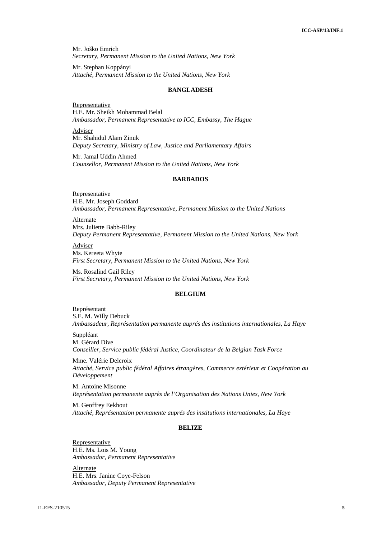Mr. Joško Emrich *Secretary, Permanent Mission to the United Nations, New York*

Mr. Stephan Koppányi *Attaché, Permanent Mission to the United Nations, New York*

#### **BANGLADESH**

Representative H.E. Mr. Sheikh Mohammad Belal *Ambassador, Permanent Representative to ICC, Embassy, The Hague*

Adviser Mr. Shahidul Alam Zinuk *Deputy Secretary, Ministry of Law, Justice and Parliamentary Affairs*

Mr. Jamal Uddin Ahmed *Counsellor, Permanent Mission to the United Nations, New York*

# **BARBADOS**

**Representative** H.E. Mr. Joseph Goddard *Ambassador, Permanent Representative, Permanent Mission to the United Nations*

Alternate Mrs. Juliette Babb-Riley *Deputy Permanent Representative, Permanent Mission to the United Nations, New York*

Adviser Ms. Kereeta Whyte *First Secretary, Permanent Mission to the United Nations, New York*

Ms. Rosalind Gail Riley *First Secretary, Permanent Mission to the United Nations, New York*

#### **BELGIUM**

Représentant S.E. M. Willy Debuck *Ambassadeur, Représentation permanente auprés des institutions internationales, La Haye*

Suppléant M. Gérard Dive *Conseiller, Service public fédéral Justice, Coordinateur de la Belgian Task Force*

Mme. Valérie Delcroix *Attaché, Service public fédéral Affaires étrangères, Commerce extérieur et Coopération au Développement*

M. Antoine Misonne *Représentation permanente auprès de l'Organisation des Nations Unies, New York*

M. Geoffrey Eekhout *Attaché, Représentation permanente auprés des institutions internationales, La Haye*

#### **BELIZE**

Representative H.E. Ms. Lois M. Young *Ambassador, Permanent Representative*

Alternate H.E. Mrs. Janine Coye-Felson *Ambassador, Deputy Permanent Representative*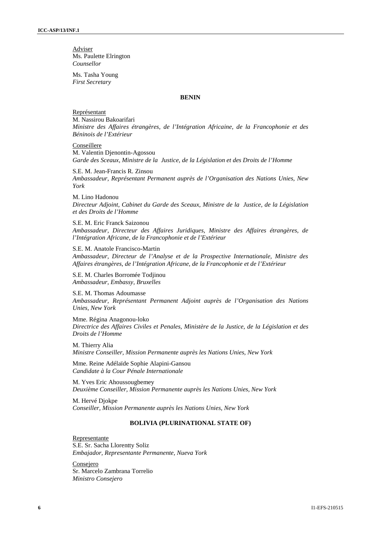Adviser Ms. Paulette Elrington *Counsellor*

Ms. Tasha Young *First Secretary*

#### **BENIN**

Représentant M. Nassirou Bakoarifari *Ministre des Affaires étrangères, de l'Intégration Africaine, de la Francophonie et des Béninois de l'Extérieur*

Conseillere M. Valentin Djenontin-Agossou *Garde des Sceaux, Ministre de la Justice, de la Législation et des Droits de l'Homme*

S.E. M. Jean-Francis R. Zinsou *Ambassadeur, Représentant Permanent auprès de l'Organisation des Nations Unies, New York*

M. Lino Hadonou *Directeur Adjoint, Cabinet du Garde des Sceaux, Ministre de la Justice, de la Législation et des Droits de l'Homme*

S.E. M. Eric Franck Saizonou *Ambassadeur, Directeur des Affaires Juridiques, Ministre des Affaires étrangères, de l'Intégration Africane, de la Francophonie et de l'Extérieur*

S.E. M. Anatole Francisco-Martin *Ambassadeur, Directeur de l'Analyse et de la Prospective Internationale, Ministre des Affaires étrangères, de l'Intégration Africane, de la Francophonie et de l'Extérieur*

S.E. M. Charles Borromée Todjinou *Ambassadeur, Embassy, Bruxelles*

S.E. M. Thomas Adoumasse *Ambassadeur, Représentant Permanent Adjoint auprès de l'Organisation des Nations Unies, New York*

Mme. Régina Anagonou-loko *Directrice des Affaires Civiles et Penales, Ministère de la Justice, de la Législation et des Droits de l'Homme*

M. Thierry Alia *Ministre Conseiller, Mission Permanente auprès les Nations Unies, New York*

Mme. Reine Adélaïde Sophie Alapini-Gansou *Candidate à la Cour Pénale Internationale*

M. Yves Eric Ahoussougbemey *Deuxième Conseiller, Mission Permanente auprès les Nations Unies, New York*

M. Hervé Djokpe *Conseiller, Mission Permanente auprès les Nations Unies, New York*

# **BOLIVIA (PLURINATIONAL STATE OF)**

Representante S.E. Sr. Sacha Llorentty Soliz *Embajador, Representante Permanente, Nueva York*

Consejero Sr. Marcelo Zambrana Torrelio *Ministro Consejero*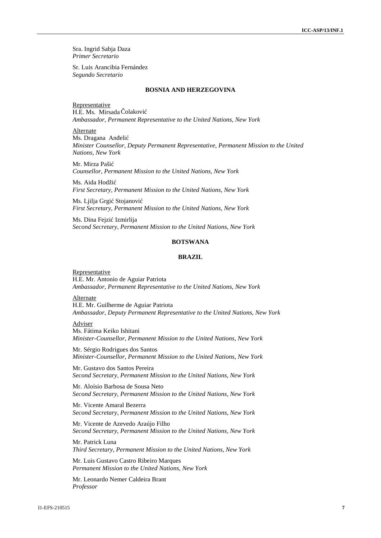Sra. Ingrid Sabja Daza *Primer Secretario*

Sr. Luis Arancibia Fernández *Segundo Secretario*

#### **BOSNIA AND HERZEGOVINA**

Representative H.E. Ms. Mirsada olakovi *Ambassador, Permanent Representative to the United Nations, New York*

Alternate

Ms. Dragana An eli *Minister Counsellor, Deputy Permanent Representative, Permanent Mission to the United Nations, New York*

Mr. Mirza Paši *Counsellor, Permanent Mission to the United Nations, New York*

Ms. Aida Hodži *First Secretary, Permanent Mission to the United Nations, New York*

Ms. Ljilja Grgi Stojanovi *First Secretary, Permanent Mission to the United Nations, New York*

Ms. Dina Fejzi Izmirlija *Second Secretary, Permanent Mission to the United Nations, New York*

### **BOTSWANA**

# **BRAZIL**

Representative H.E. Mr. Antonio de Aguiar Patriota *Ambassador, Permanent Representative to the United Nations, New York*

Alternate

H.E. Mr. Guilherme de Aguiar Patriota *Ambassador, Deputy Permanent Representative to the United Nations, New York*

#### Adviser

Ms. Fátima Keiko Ishitani *Minister-Counsellor, Permanent Mission to the United Nations, New York*

Mr. Sérgio Rodrigues dos Santos *Minister-Counsellor, Permanent Mission to the United Nations, New York*

Mr. Gustavo dos Santos Pereira *Second Secretary, Permanent Mission to the United Nations, New York*

Mr. Aloísio Barbosa de Sousa Neto *Second Secretary, Permanent Mission to the United Nations, New York*

Mr. Vicente Amaral Bezerra *Second Secretary, Permanent Mission to the United Nations, New York*

Mr. Vicente de Azevedo Araújo Filho *Second Secretary, Permanent Mission to the United Nations, New York*

Mr. Patrick Luna *Third Secretary, Permanent Mission to the United Nations, New York*

Mr. Luis Gustavo Castro Ribeiro Marques *Permanent Mission to the United Nations, New York*

Mr. Leonardo Nemer Caldeira Brant *Professor*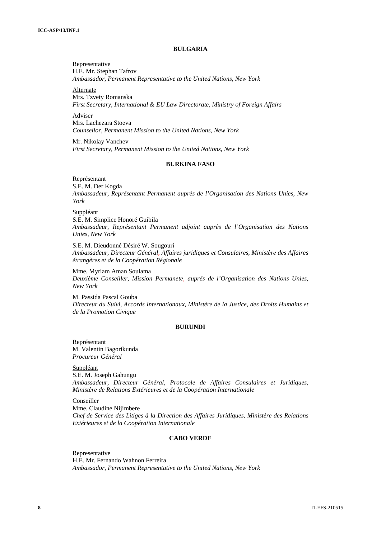# **BULGARIA**

Representative H.E. Mr. Stephan Tafrov *Ambassador, Permanent Representative to the United Nations, New York*

Alternate Mrs. Tzvety Romanska *First Secretary, International & EU Law Directorate, Ministry of Foreign Affairs*

Adviser Mrs. Lachezara Stoeva *Counsellor, Permanent Mission to the United Nations, New York*

Mr. Nikolay Vanchev *First Secretary, Permanent Mission to the United Nations, New York*

# **BURKINA FASO**

Représentant

S.E. M. Der Kogda *Ambassadeur, Représentant Permanent auprès de l'Organisation des Nations Unies, New York*

Suppléant

S.E. M. Simplice Honoré Guibila *Ambassadeur, Représentant Permanent adjoint auprès de l'Organisation des Nations Unies, New York*

S.E. M. Dieudonné Désiré W. Sougouri *Ambassadeur, Directeur Général, Affaires juridiques et Consulaires, Ministère des Affaires étrangères et de la Coopération Régionale*

Mme. Myriam Aman Soulama *Deuxième Conseiller, Mission Permanete, auprés de l'Organisation des Nations Unies, New York*

M. Passida Pascal Gouba *Directeur du Suivi, Accords Internationaux, Ministère de la Justice, des Droits Humains et de la Promotion Civique*

# **BURUNDI**

Représentant M. Valentin Bagorikunda *Procureur Général*

Suppléant S.E. M. Joseph Gahungu *Ambassadeur, Directeur Général, Protocole de Affaires Consulaires et Juridiques, Ministère de Relations Extérieures et de la Coopération Internationale*

**Conseiller** Mme. Claudine Nijimbere *Chef de Service des Litiges à la Direction des Affaires Juridiques, Ministère des Relations Extérieures et de la Coopération Internationale*

# **CABO VERDE**

Representative H.E. Mr. Fernando Wahnon Ferreira *Ambassador, Permanent Representative to the United Nations, New York*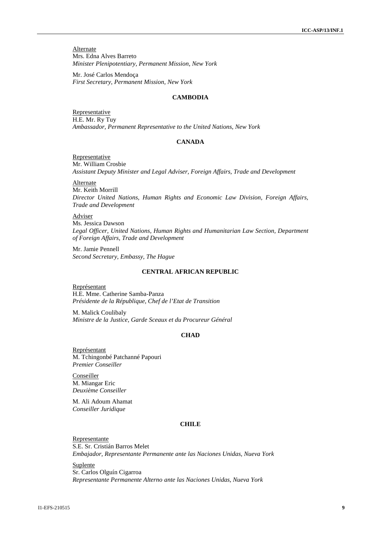**Alternate** Mrs. Edna Alves Barreto *Minister Plenipotentiary, Permanent Mission, New York*

Mr. José Carlos Mendoça *First Secretary, Permanent Mission, New York*

#### **CAMBODIA**

Representative H.E. Mr. Ry Tuy *Ambassador, Permanent Representative to the United Nations, New York*

#### **CANADA**

Representative Mr. William Crosbie *Assistant Deputy Minister and Legal Adviser, Foreign Affairs, Trade and Development*

Alternate

Mr. Keith Morrill *Director United Nations, Human Rights and Economic Law Division, Foreign Affairs, Trade and Development*

Adviser

Ms. Jessica Dawson *Legal Officer, United Nations, Human Rights and Humanitarian Law Section, Department of Foreign Affairs, Trade and Development*

Mr. Jamie Pennell *Second Secretary, Embassy, The Hague*

### **CENTRAL AFRICAN REPUBLIC**

Représentant H.E. Mme. Catherine Samba-Panza *Présidente de la République, Chef de l'Etat de Transition*

M. Malick Coulibaly *Ministre de la Justice, Garde Sceaux et du Procureur Général*

# **CHAD**

Représentant M. Tchingonbé Patchanné Papouri *Premier Conseiller*

Conseiller M. Miangar Eric *Deuxième Conseiller*

M. Ali Adoum Ahamat *Conseiller Juridique*

# **CHILE**

Representante S.E. Sr. Cristián Barros Melet *Embajador, Representante Permanente ante las Naciones Unidas, Nueva York*

Suplente Sr. Carlos Olguín Cigarroa *Representante Permanente Alterno ante las Naciones Unidas, Nueva York*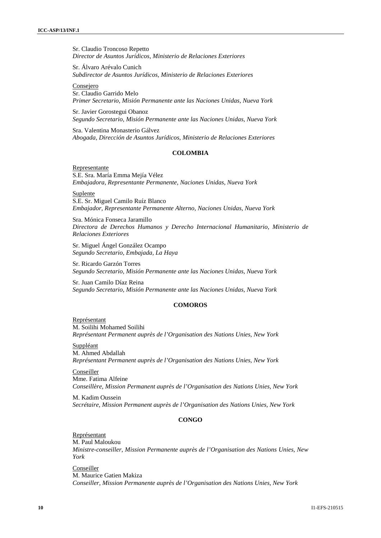Sr. Claudio Troncoso Repetto *Director de Asuntos Jurídicos, Ministerio de Relaciones Exteriores*

Sr. Álvaro Arévalo Cunich *Subdirector de Asuntos Jurídicos, Ministerio de Relaciones Exteriores*

Consejero Sr. Claudio Garrido Melo *Primer Secretario, Misión Permanente ante las Naciones Unidas, Nueva York*

Sr. Javier Gorostegui Obanoz *Segundo Secretario, Misión Permanente ante las Naciones Unidas, Nueva York*

Sra. Valentina Monasterio Gálvez *Abogada, Dirección de Asuntos Jurídicos, Ministerio de Relaciones Exteriores*

# **COLOMBIA**

Representante S.E. Sra. María Emma Mejía Vélez *Embajadora, Representante Permanente, Naciones Unidas, Nueva York*

**Suplente** S.E. Sr. Miguel Camilo Ruíz Blanco *Embajador, Representante Permanente Alterno, Naciones Unidas, Nueva York*

Sra. Mónica Fonseca Jaramillo *Directora de Derechos Humanos y Derecho Internacional Humanitario, Ministerio de Relaciones Exteriores*

Sr. Miguel Ángel González Ocampo *Segundo Secretario, Embajada, La Haya*

Sr. Ricardo Garzón Torres *Segundo Secretario, Misión Permanente ante las Naciones Unidas, Nueva York*

Sr. Juan Camilo Díaz Reina *Segundo Secretario, Misión Permanente ante las Naciones Unidas, Nueva York*

# **COMOROS**

Représentant M. Soilihi Mohamed Soilihi *Représentant Permanent auprès de l'Organisation des Nations Unies, New York*

Suppléant M. Ahmed Abdallah *Représentant Permanent auprès de l'Organisation des Nations Unies, New York*

Conseiller Mme. Fatima Alfeine *Conseillère, Mission Permanent auprès de l'Organisation des Nations Unies, New York*

M. Kadim Oussein *Secrétaire, Mission Permanent auprès de l'Organisation des Nations Unies, New York*

### **CONGO**

Représentant M. Paul Maloukou *Ministre-conseiller, Mission Permanente auprès de l'Organisation des Nations Unies, New York*

Conseiller M. Maurice Gatien Makiza *Conseiller, Mission Permanente auprès de l'Organisation des Nations Unies, New York*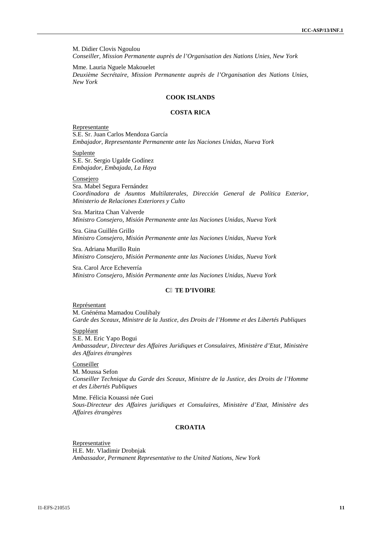M. Didier Clovis Ngoulou *Conseiller, Mission Permanente auprès de l'Organisation des Nations Unies, New York*

Mme. Lauria Nguele Makouelet *Deuxième Secrétaire, Mission Permanente auprès de l'Organisation des Nations Unies, New York*

#### **COOK ISLANDS**

#### **COSTA RICA**

Representante S.E. Sr. Juan Carlos Mendoza García *Embajador, Representante Permanente ante las Naciones Unidas, Nueva York*

Suplente

S.E. Sr. Sergio Ugalde Godínez *Embajador, Embajada, La Haya*

Consejero

Sra. Mabel Segura Fernández *Coordinadora de Asuntos Multilaterales, Dirección General de Política Exterior, Ministerio de Relaciones Exteriores y Culto*

Sra. Maritza Chan Valverde *Ministro Consejero, Misión Permanente ante las Naciones Unidas, Nueva York*

Sra. Gina Guillén Grillo *Ministro Consejero, Misión Permanente ante las Naciones Unidas, Nueva York*

Sra. Adriana Murillo Ruin *Ministro Consejero, Misión Permanente ante las Naciones Unidas, Nueva York*

Sra. Carol Arce Echeverría *Ministro Consejero, Misión Permanente ante las Naciones Unidas, Nueva York*

# **C TE D'IVOIRE**

#### Représentant M. Gnénéma Mamadou Coulibaly *Garde des Sceaux, Ministre de la Justice, des Droits de l'Homme et des Libertés Publiques*

#### Suppléant

S.E. M. Eric Yapo Bogui *Ambassadeur, Directeur des Affaires Juridiques et Consulaires, Ministère d'Etat, Ministère des Affaires étrangères*

Conseiller

M. Moussa Sefon *Conseiller Technique du Garde des Sceaux, Ministre de la Justice, des Droits de l'Homme et des Libertés Publiques*

Mme. Félicia Kouassi née Guei *Sous-Directeur des Affaires juridiques et Consulaires, Ministère d'Etat, Ministère des Affaires étrangères*

# **CROATIA**

**Representative** H.E. Mr. Vladimir Drobnjak *Ambassador, Permanent Representative to the United Nations, New York*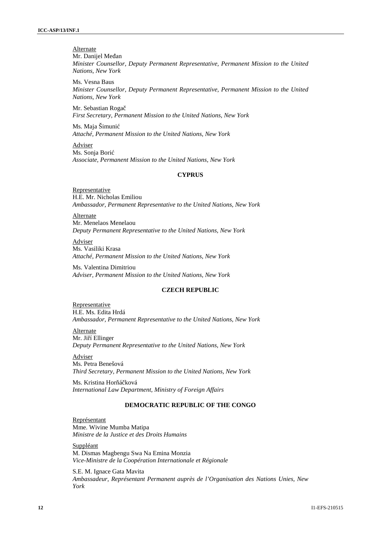**Alternate** 

Mr. Danijel Me an *Minister Counsellor, Deputy Permanent Representative, Permanent Mission to the United Nations, New York*

Ms. Vesna Baus *Minister Counsellor, Deputy Permanent Representative, Permanent Mission to the United Nations, New York*

Mr. Sebastian Roga *First Secretary, Permanent Mission to the United Nations, New York*

Ms. Maja Šimunić *Attaché, Permanent Mission to the United Nations, New York*

Adviser Ms. Sonja Borić *Associate, Permanent Mission to the United Nations, New York*

### **CYPRUS**

Representative H.E. Mr. Nicholas Emiliou *Ambassador, Permanent Representative to the United Nations, New York*

Alternate Mr. Menelaos Menelaou *Deputy Permanent Representative to the United Nations, New York*

Adviser Ms. Vasiliki Krasa *Attaché, Permanent Mission to the United Nations, New York*

Ms. Valentina Dimitriou *Adviser, Permanent Mission to the United Nations, New York*

### **CZECH REPUBLIC**

Representative H.E. Ms. Edita Hrdá *Ambassador, Permanent Representative to the United Nations, New York*

**Alternate** Mr. Ji í Ellinger *Deputy Permanent Representative to the United Nations, New York*

Adviser Ms. Petra Benešová *Third Secretary, Permanent Mission to the United Nations, New York*

Ms. Kristina Horá ková *International Law Department, Ministry of Foreign Affairs*

# **DEMOCRATIC REPUBLIC OF THE CONGO**

Représentant Mme. Wivine Mumba Matipa *Ministre de la Justice et des Droits Humains*

**Suppléant** M. Dismas Magbengu Swa Na Emina Monzia *Vice-Ministre de la Coopération Internationale et Régionale*

S.E. M. Ignace Gata Mavita *Ambassadeur, Représentant Permanent auprès de l'Organisation des Nations Unies, New York*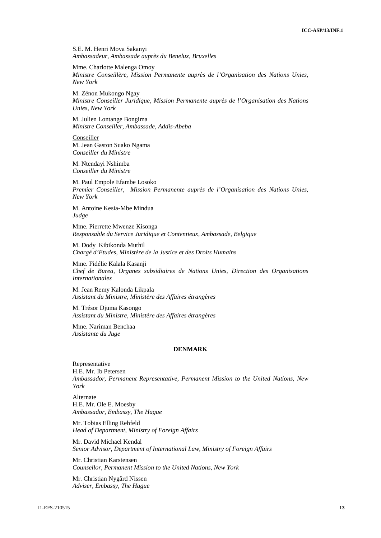S.E. M. Henri Mova Sakanyi *Ambassadeur, Ambassade auprès du Benelux, Bruxelles*

Mme. Charlotte Malenga Omoy *Ministre Conseillère, Mission Permanente auprès de l'Organisation des Nations Unies, New York*

M. Zénon Mukongo Ngay *Ministre Conseiller Juridique, Mission Permanente auprès de l'Organisation des Nations Unies, New York*

M. Julien Lontange Bongima *Ministre Conseiller, Ambassade, Addis-Abeba*

Conseiller M. Jean Gaston Suako Ngama *Conseiller du Ministre*

M. Ntendayi Nshimba *Conseiller du Ministre*

M. Paul Empole Efambe Losoko *Premier Conseiller, Mission Permanente auprès de l'Organisation des Nations Unies, New York*

M. Antoine Kesia-Mbe Mindua *Judge*

Mme. Pierrette Mwenze Kisonga *Responsable du Service Juridique et Contentieux, Ambassade, Belgique*

M. Dody Kibikonda Muthil *Chargé d'Etudes, Ministère de la Justice et des Droits Humains*

Mme. Fidélie Kalala Kasanji *Chef de Burea, Organes subsidiaires de Nations Unies, Direction des Organisations Internationales*

M. Jean Remy Kalonda Likpala *Assistant du Ministre, Ministère des Affaires étrangères*

M. Trésor Djuma Kasongo *Assistant du Ministre, Ministère des Affaires étrangères*

Mme. Nariman Benchaa *Assistante du Juge*

#### **DENMARK**

Representative H.E. Mr. Ib Petersen *Ambassador, Permanent Representative, Permanent Mission to the United Nations, New York*

Alternate H.E. Mr. Ole E. Moesby *Ambassador, Embassy, The Hague*

Mr. Tobias Elling Rehfeld *Head of Department, Ministry of Foreign Affairs*

Mr. David Michael Kendal *Senior Advisor, Department of International Law, Ministry of Foreign Affairs*

Mr. Christian Karstensen *Counsellor, Permanent Mission to the United Nations, New York*

Mr. Christian Nygård Nissen *Adviser, Embassy, The Hague*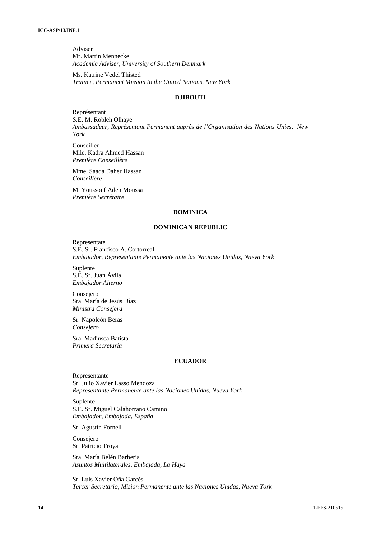Adviser Mr. Martin Mennecke *Academic Adviser, University of Southern Denmark*

Ms. Katrine Vedel Thisted *Trainee, Permanent Mission to the United Nations, New York*

# **DJIBOUTI**

Représentant S.E. M. Robleh Olhaye *Ambassadeur, Représentant Permanent auprès de l'Organisation des Nations Unies, New York*

Conseiller Mlle. Kadra Ahmed Hassan *Première Conseillère*

Mme. Saada Daher Hassan *Conseillère*

M. Youssouf Aden Moussa *Première Secrétaire*

#### **DOMINICA**

### **DOMINICAN REPUBLIC**

Representate S.E. Sr. Francisco A. Cortorreal *Embajador, Representante Permanente ante las Naciones Unidas, Nueva York*

Suplente S.E. Sr. Juan Ávila *Embajador Alterno*

Consejero Sra. María de Jesús Díaz *Ministra Consejera*

Sr. Napoleón Beras *Consejero*

Sra. Madiusca Batista *Primera Secretaria*

# **ECUADOR**

Representante Sr. Julio Xavier Lasso Mendoza *Representante Permanente ante las Naciones Unidas, Nueva York*

Suplente S.E. Sr. Miguel Calahorrano Camino *Embajador, Embajada, España*

Sr. Agustín Fornell

Consejero Sr. Patricio Troya

Sra. María Belén Barberis *Asuntos Multilaterales, Embajada, La Haya*

Sr. Luis Xavier Oña Garcés *Tercer Secretario, Mision Permanente ante las Naciones Unidas, Nueva York*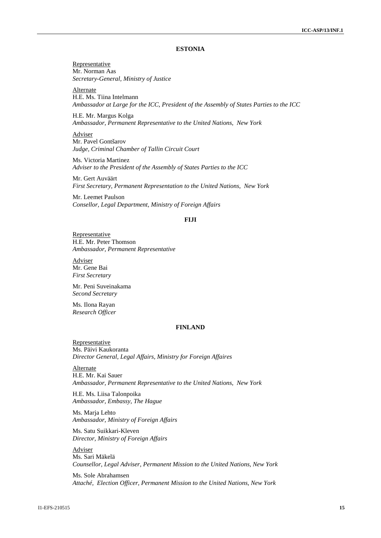#### **ESTONIA**

Representative Mr. Norman Aas *Secretary-General, Ministry of Justice*

Alternate H.E. Ms. Tiina Intelmann *Ambassador at Large for the ICC, President of the Assembly of States Parties to the ICC*

H.E. Mr. Margus Kolga *Ambassador, Permanent Representative to the United Nations, New York*

Adviser Mr. Pavel Gontšarov *Judge, Criminal Chamber of Tallin Circuit Court*

Ms. Victoria Martinez *Adviser to the President of the Assembly of States Parties to the ICC*

Mr. Gert Auväärt *First Secretary, Permanent Representation to the United Nations, New York*

Mr. Leemet Paulson *Consellor, Legal Department, Ministry of Foreign Affairs*

### **FIJI**

Representative H.E. Mr. Peter Thomson *Ambassador, Permanent Representative*

Adviser Mr. Gene Bai *First Secretary*

Mr. Peni Suveinakama *Second Secretary*

Ms. Ilona Rayan *Research Officer*

# **FINLAND**

Representative Ms. Päivi Kaukoranta *Director General, Legal Affairs, Ministry for Foreign Affaires*

Alternate H.E. Mr. Kai Sauer *Ambassador, Permanent Representative to the United Nations, New York*

H.E. Ms. Liisa Talonpoika *Ambassador, Embassy, The Hague*

Ms. Maria Lehto *Ambassador, Ministry of Foreign Affairs*

Ms. Satu Suikkari-Kleven *Director, Ministry of Foreign Affairs*

Adviser Ms. Sari Mäkelä *Counsellor, Legal Adviser, Permanent Mission to the United Nations, New York*

Ms. Sole Abrahamsen *Attaché, Election Officer, Permanent Mission to the United Nations, New York*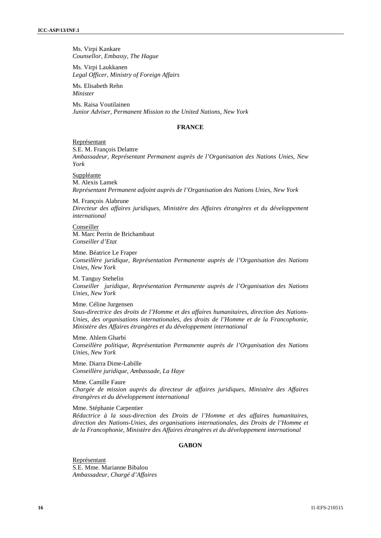Ms. Virpi Kankare *Counsellor, Embassy, The Hague*

Ms. Virpi Laukkanen *Legal Officer, Ministry of Foreign Affairs*

Ms. Elisabeth Rehn *Minister*

Ms. Raisa Voutilainen *Junior Adviser, Permanent Mission to the United Nations, New York*

#### **FRANCE**

#### Représentant

S.E. M. François Delattre

*Ambassadeur, Représentant Permanent auprès de l'Organisation des Nations Unies, New York*

Suppléante M. Alexis Lamek *Représentant Permanent adjoint auprès de l'Organisation des Nations Unies, New York*

M. François Alabrune *Directeur des affaires juridiques, Ministère des Affaires étrangères et du développement international*

Conseiller M. Marc Perrin de Brichambaut *Conseiller d'Etat*

Mme. Béatrice Le Fraper *Conseillère juridique, Représentation Permanente auprès de l'Organisation des Nations Unies, New York*

M. Tanguy Stehelin *Conseiller juridique, Représentation Permanente auprès de l'Organisation des Nations Unies, New York*

Mme. Céline Jurgensen *Sous-directrice des droits de l'Homme et des affaires humanitaires, direction des Nations- Unies, des organisations internationales, des droits de l'Homme et de la Francophonie, Ministère des Affaires étrangères et du développement international*

Mme. Ahlem Gharbi *Conseillère politique, Représentation Permanente auprès de l'Organisation des Nations Unies, New York*

Mme. Diarra Dime-Labille *Conseillère juridique, Ambassade, La Haye*

Mme. Camille Faure *Chargée de mission auprès du directeur de affaires juridiques, Ministère des Affaires étrangères et du développement international*

Mme. Stéphanie Carpentier

*Rédactrice à la sous-direction des Droits de l'Homme et des affaires humanitaires, direction des Nations-Unies, des organisations internationales, des Droits de l'Homme et de la Francophonie, Ministère des Affaires étrangères et du développement international*

### **GABON**

Représentant S.E. Mme. Marianne Bibalou *Ambassadeur, Chargé d'Affaires*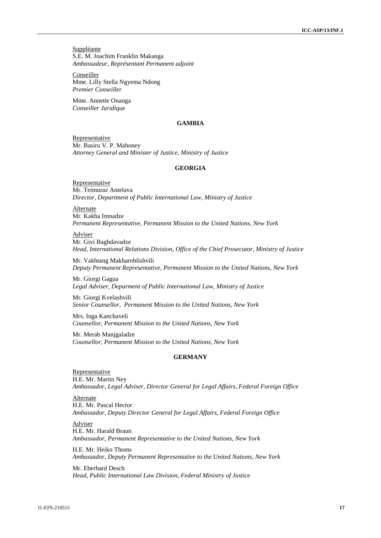**Suppléante** S.E. M. Joachim Franklin Makanga *Ambassadeur, Représentant Permanent adjoint*

Conseiller Mme. Lilly Stella Ngyema Ndong *Premier Conseiller*

Mme. Annette Onanga *Conseiller Juridique*

### **GAMBIA**

Representative Mr. Basiru V. P. Mahoney *Attorney General and Minister of Justice, Ministry of Justice*

# **GEORGIA**

Representative Mr. Teimuraz Antelava *Director, Department of Public International Law, Ministry of Justice*

Alternate Mr. Kakha Imnadze *Permanent Representative, Permanent Mission to the United Nations, New York*

Adviser Mr. Givi Baghdavadze *Head, International Relations Division, Office of the Chief Prosecutor, Ministry of Justice*

Mr. Vakhtang Makharoblishvili *Deputy Permanent Representative, Permanent Mission to the United Nations, New York*

Mr. Giorgi Gagua *Legal Adviser, Deparment of Public International Law, Ministry of Justice*

Mr. Giorgi Kvelashvili *Senior Counsellor, Permanent Mission to the United Nations, New York*

Mrs. Inga Kanchaveli *Counsellor, Permanent Mission to the United Nations, New York*

Mr. Merab Manjgaladze *Counsellor, Permanent Mission to the United Nations, New York*

#### **GERMANY**

**Representative** H.E. Mr. Martin Ney *Ambassador, Legal Adviser, Director General for Legal Affairs, Federal Foreign Office*

Alternate H.E. Mr. Pascal Hector *Ambassador, Deputy Director General for Legal Affairs, Federal Foreign Office*

Adviser H.E. Mr. Harald Braun *Ambassador, Permanent Representative to the United Nations, New York*

H.E. Mr. Heiko Thoms *Ambassador, Deputy Permanent Representative to the United Nations, New York*

Mr. Eberhard Desch *Head, Public International Law Division, Federal Ministry of Justice*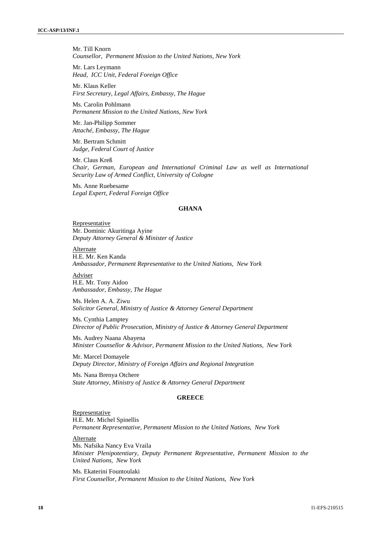Mr. Till Knorn *Counsellor, Permanent Mission to the United Nations, New York*

Mr. Lars Leymann *Head, ICC Unit, Federal Foreign Office*

Mr. Klaus Keller *First Secretary, Legal Affairs, Embassy, The Hague*

Ms. Carolin Pohlmann *Permanent Mission to the United Nations, New York*

Mr. Jan-Philipp Sommer *Attaché, Embassy, The Hague*

Mr. Bertram Schmitt *Judge, Federal Court of Justice*

Mr. Claus Kreß *Chair, German, European and International Criminal Law as well as International Security Law of Armed Conflict, University of Cologne*

Ms. Anne Ruebesame *Legal Expert, Federal Foreign Office*

### **GHANA**

Representative Mr. Dominic Akuritinga Ayine *Deputy Attorney General & Minister of Justice*

Alternate H.E. Mr. Ken Kanda *Ambassador, Permanent Representative to the United Nations, New York*

Adviser H.E. Mr. Tony Aidoo *Ambassador, Embassy, The Hague*

Ms. Helen A. A. Ziwu *Solicitor General, Ministry of Justice & Attorney General Department*

Ms. Cynthia Lamptey *Director of Public Prosecution, Ministry of Justice & Attorney General Department*

Ms. Audrey Naana Abayena *Minister Counsellor & Advisor, Permanent Mission to the United Nations, New York*

Mr. Marcel Domayele *Deputy Director, Ministry of Foreign Affairs and Regional Integration*

Ms. Nana Brenya Otchere *State Attorney, Ministry of Justice & Attorney General Department*

#### **GREECE**

Representative H.E. Mr. Michel Spinellis *Permanent Representative, Permanent Mission to the United Nations, New York*

Alternate Ms. Nafsika Nancy Eva Vraila *Minister Plenipotentiary, Deputy Permanent Representative, Permanent Mission to the United Nations, New York*

Ms. Ekaterini Fountoulaki *First Counsellor, Permanent Mission to the United Nations*, *New York*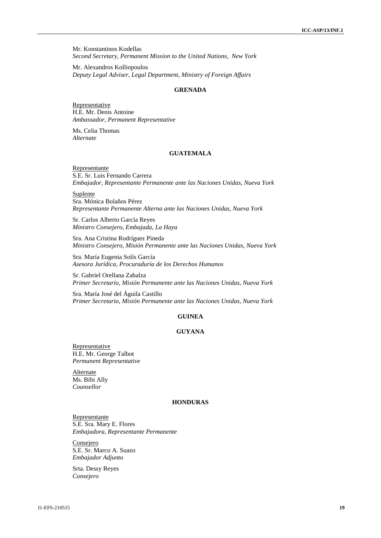Mr. Konstantinos Kodellas *Second Secretary, Permanent Mission to the United Nations, New York*

Mr. Alexandros Kolliopoulos *Deputy Legal Adviser, Legal Department, Ministry of Foreign Affairs*

### **GRENADA**

**Representative** H.E. Mr. Denis Antoine *Ambassador, Permanent Representative*

Ms. Celia Thomas *Alternate*

# **GUATEMALA**

Representante S.E. Sr. Luis Fernando Carrera *Embajador, Representante Permanente ante las Naciones Unidas, Nueva York*

Suplente Sra. Mónica Bolaños Pérez *Representante Permanente Alterna ante las Naciones Unidas, Nueva York*

Sr. Carlos Alberto García Reyes *Ministro Consejero, Embajada, La Haya*

Sra. Ana Cristina Rodríguez Pineda *Ministro Consejero, Misión Permanente ante las Naciones Unidas, Nueva York*

Sra. María Eugenia Solís García *Asesora Jurídica, Procuraduría de los Derechos Humanos*

Sr. Gabriel Orellana Zabalza *Primer Secretario, Misión Permanente ante las Naciones Unidas, Nueva York*

Sra. María José del Águila Castillo *Primer Secretario, Misión Permanente ante las Naciones Unidas, Nueva York*

# **GUINEA**

# **GUYANA**

Representative H.E. Mr. George Talbot *Permanent Representative*

**Alternate** Ms. Bibi Ally *Counsellor*

#### **HONDURAS**

Representante S.E. Sra. Mary E. Flores *Embajadora, Representante Permanente*

Consejero S.E. Sr. Marco A. Suazo *Embajador Adjunto*

Srta. Dessy Reyes *Consejero*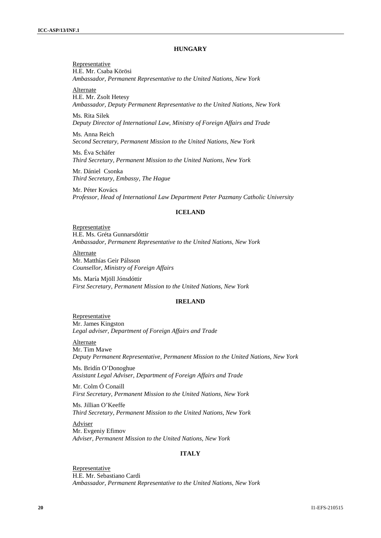#### **HUNGARY**

Representative H.E. Mr. Csaba Körösi *Ambassador, Permanent Representative to the United Nations, New York*

Alternate

H.E. Mr. Zsolt Hetesy *Ambassador, Deputy Permanent Representative to the United Nations, New York*

Ms. Rita Silek *Deputy Director of International Law*, *Ministry of Foreign Affairs and Trade*

Ms. Anna Reich *Second Secretary, Permanent Mission to the United Nations, New York*

Ms. Éva Schäfer *Third Secretary, Permanent Mission to the United Nations, New York*

Mr. Dániel Csonka *Third Secretary, Embassy, The Hague*

Mr. Péter Kovács *Professor, Head of International Law Department Peter Pazmany Catholic University*

# **ICELAND**

Representative H.E. Ms. Gréta Gunnarsdóttir *Ambassador, Permanent Representative to the United Nations, New York*

Alternate Mr. Matthías Geir Pálsson *Counsellor, Ministry of Foreign Affairs*

Ms. María Mjöll Jónsdóttir *First Secretary, Permanent Mission to the United Nations, New York*

#### **IRELAND**

Representative Mr. James Kingston *Legal adviser, Department of Foreign Affairs and Trade*

Alternate Mr. Tim Mawe *Deputy Permanent Representative, Permanent Mission to the United Nations, New York*

Ms. Bridín O'Donoghue *Assistant Legal Adviser, Department of Foreign Affairs and Trade*

Mr. Colm Ó Conaill *First Secretary, Permanent Mission to the United Nations, New York*

Ms. Jillian O'Keeffe *Third Secretary, Permanent Mission to the United Nations, New York*

Adviser Mr. Evgeniy Efimov *Adviser, Permanent Mission to the United Nations, New York*

### **ITALY**

Representative H.E. Mr. Sebastiano Cardi *Ambassador, Permanent Representative to the United Nations, New York*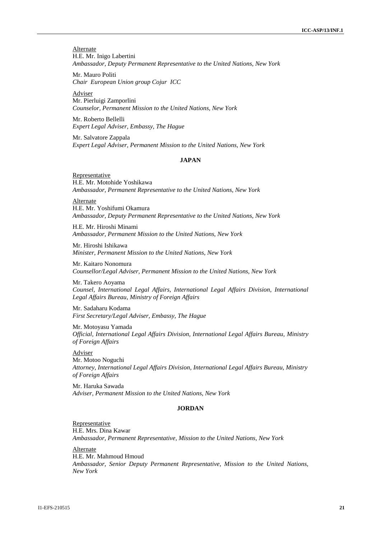**Alternate** H.E. Mr. Inigo Labertini *Ambassador, Deputy Permanent Representative to the United Nations, New York*

Mr. Mauro Politi *Chair European Union group Cojur ICC*

Adviser Mr. Pierluigi Zamporlini *Counselor, Permanent Mission to the United Nations, New York*

Mr. Roberto Bellelli *Expert Legal Adviser, Embassy, The Hague*

Mr. Salvatore Zappala *Expert Legal Adviser, Permanent Mission to the United Nations, New York*

## **JAPAN**

Representative H.E. Mr. Motohide Yoshikawa *Ambassador, Permanent Representative to the United Nations, New York*

Alternate H.E. Mr. Yoshifumi Okamura *Ambassador, Deputy Permanent Representative to the United Nations, New York*

H.E. Mr. Hiroshi Minami *Ambassador, Permanent Mission to the United Nations, New York*

Mr. Hiroshi Ishikawa *Minister, Permanent Mission to the United Nations, New York*

Mr. Kaitaro Nonomura *Counsellor/Legal Adviser, Permanent Mission to the United Nations, New York*

Mr. Takero Aoyama *Counsel, International Legal Affairs, International Legal Affairs Division, International Legal Affairs Bureau, Ministry of Foreign Affairs*

Mr. Sadaharu Kodama *First Secretary/Legal Adviser, Embassy, The Hague*

Mr. Motoyasu Yamada *Official, International Legal Affairs Division, International Legal Affairs Bureau, Ministry of Foreign Affairs*

Adviser Mr. Motoo Noguchi *Attorney, International Legal Affairs Division, International Legal Affairs Bureau, Ministry of Foreign Affairs*

Mr. Haruka Sawada *Adviser, Permanent Mission to the United Nations, New York*

# **JORDAN**

Representative H.E. Mrs. Dina Kawar *Ambassador, Permanent Representative, Mission to the United Nations, New York*

Alternate H.E. Mr. Mahmoud Hmoud *Ambassador, Senior Deputy Permanent Representative, Mission to the United Nations, New York*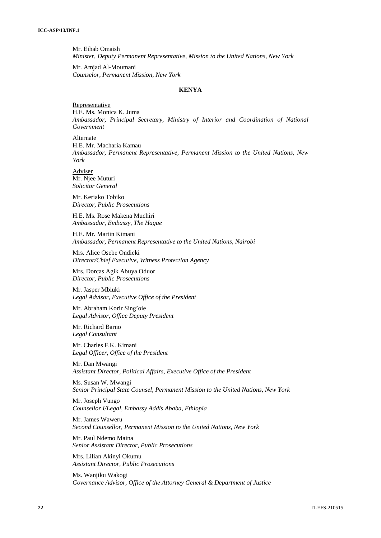Mr. Eihab Omaish *Minister, Deputy Permanent Representative, Mission to the United Nations, New York*

Mr. Amjad Al-Moumani *Counselor, Permanent Mission, New York*

### **KENYA**

#### Representative H.E. Ms. Monica K. Juma *Ambassador, Principal Secretary, Ministry of Interior and Coordination of National Government*

Alternate

H.E. Mr. Macharia Kamau *Ambassador, Permanent Representative, Permanent Mission to the United Nations, New York*

Adviser Mr. Njee Muturi *Solicitor General*

Mr. Keriako Tobiko *Director, Public Prosecutions*

H.E. Ms. Rose Makena Muchiri *Ambassador, Embassy, The Hague*

H.E. Mr. Martin Kimani *Ambassador, Permanent Representative to the United Nations, Nairobi*

Mrs. Alice Osebe Ondieki *Director/Chief Executive, Witness Protection Agency*

Mrs. Dorcas Agik Abuya Oduor *Director, Public Prosecutions*

Mr. Jasper Mbiuki *Legal Advisor, Executive Office of the President*

Mr. Abraham Korir Sing'oie *Legal Advisor, Office Deputy President*

Mr. Richard Barno *Legal Consultant*

Mr. Charles F.K. Kimani *Legal Officer, Office of the President*

Mr. Dan Mwangi *Assistant Director, Political Affairs, Executive Office of the President*

Ms. Susan W. Mwangi *Senior Principal State Counsel, Permanent Mission to the United Nations, New York*

Mr. Joseph Vungo *Counsellor I/Legal, Embassy Addis Ababa, Ethiopia*

Mr. James Waweru *Second Counsellor, Permanent Mission to the United Nations, New York*

Mr. Paul Ndemo Maina *Senior Assistant Director, Public Prosecutions*

Mrs. Lilian Akinyi Okumu *Assistant Director, Public Prosecutions*

Ms. Wanjiku Wakogi *Governance Advisor, Office of the Attorney General & Department of Justice*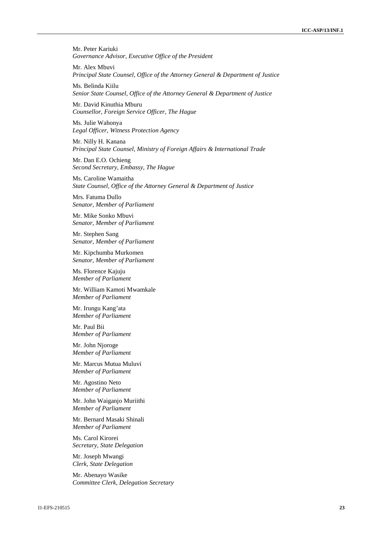Mr. Peter Kariuki *Governance Advisor, Executive Office of the President*

Mr. Alex Mbuvi *Principal State Counsel, Office of the Attorney General & Department of Justice*

Ms. Belinda Kiilu *Senior State Counsel, Office of the Attorney General & Department of Justice*

Mr. David Kinuthia Mburu *Counsellor, Foreign Service Officer, The Hague*

Ms. Julie Wahonya *Legal Officer, Witness Protection Agency*

Mr. Nilly H. Kanana *Principal State Counsel, Ministry of Foreign Affairs & International Trade*

Mr. Dan E.O. Ochieng *Second Secretary, Embassy, The Hague*

Ms. Caroline Wamaitha *State Counsel, Office of the Attorney General & Department of Justice*

Mrs. Fatuma Dullo *Senator, Member of Parliament*

Mr. Mike Sonko Mbuvi *Senator, Member of Parliament*

Mr. Stephen Sang *Senator, Member of Parliament*

Mr. Kipchumba Murkomen *Senator, Member of Parliament*

Ms. Florence Kajuju *Member of Parliament*

Mr. William Kamoti Mwamkale *Member of Parliament*

Mr. Irungu Kang'ata *Member of Parliament*

Mr. Paul Bii *Member of Parliament*

Mr. John Njoroge *Member of Parliament*

Mr. Marcus Mutua Muluvi *Member of Parliament*

Mr. Agostino Neto *Member of Parliament*

Mr. John Waiganjo Muriithi *Member of Parliament*

Mr. Bernard Masaki Shinali *Member of Parliament*

Ms. Carol Kirorei *Secretary, State Delegation*

Mr. Joseph Mwangi *Clerk, State Delegation*

Mr. Abenayo Wasike *Committee Clerk, Delegation Secretary*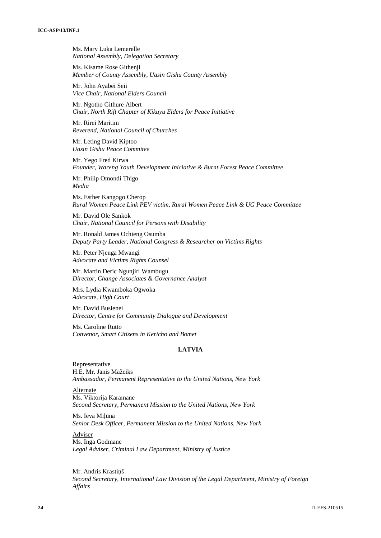Ms. Mary Luka Lemerelle *National Assembly, Delegation Secretary*

Ms. Kisame Rose Githenji *Member of County Assembly, Uasin Gishu County Assembly*

Mr. John Ayabei Seii *Vice Chair, National Elders Council*

Mr. Ngotho Githure Albert *Chair, North Rift Chapter of Kikuyu Elders for Peace Initiative*

Mr. Rirei Maritim *Reverend, National Council of Churches*

Mr. Leting David Kiptoo *Uasin Gishu Peace Commitee*

Mr. Yego Fred Kirwa *Founder, Wareng Youth Development Iniciative & Burnt Forest Peace Committee*

Mr. Philip Omondi Thigo *Media*

Ms. Esther Kangogo Cherop *Rural Women Peace Link PEV victim, Rural Women Peace Link & UG Peace Committee*

Mr. David Ole Sankok *Chair, National Council for Persons with Disability*

Mr. Ronald James Ochieng Osumba *Deputy Party Leader, National Congress & Researcher on Victims Rights*

Mr. Peter Njenga Mwangi *Advocate and Victims Rights Counsel*

Mr. Martin Deric Ngunjiri Wambugu *Director, Change Associates & Governance Analyst*

Mrs. Lydia Kwamboka Ogwoka *Advocate, High Court*

Mr. David Busienei *Director, Centre for Community Dialogue and Development*

Ms. Caroline Rutto *Convenor, Smart Citizens in Kericho and Bomet*

### **LATVIA**

Representative H.E. Mr. J nis Mažeiks *Ambassador, Permanent Representative to the United Nations, New York*

Alternate Ms. Viktorija Karamane *Second Secretary, Permanent Mission to the United Nations, New York*

Ms. Ieva Miņa *Senior Desk Officer, Permanent Mission to the United Nations, New York*

**Adviser** Ms. Inga Godmane *Legal Adviser, Criminal Law Department, Ministry of Justice*

Mr. Andris Krasti š *Second Secretary, International Law Division of the Legal Department, Ministry of Foreign Affairs*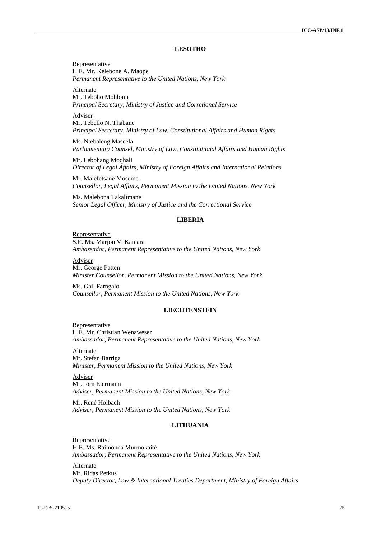#### **LESOTHO**

Representative H.E. Mr. Kelebone A. Maope *Permanent Representative to the United Nations, New York*

Alternate Mr. Teboho Mohlomi *Principal Secretary, Ministry of Justice and Corretional Service*

Adviser Mr. Tebello N. Thabane *Principal Secretary, Ministry of Law, Constitutional Affairs and Human Rights*

Ms. Ntebaleng Maseela *Parliamentary Counsel, Ministry of Law, Constitutional Affairs and Human Rights*

Mr. Lebohang Moqhali *Director of Legal Affairs, Ministry of Foreign Affairs and International Relations*

Mr. Malefetsane Moseme *Counsellor, Legal Affairs, Permanent Mission to the United Nations, New York*

Ms. Malebona Takalimane *Senior Legal Officer, Ministry of Justice and the Correctional Service*

### **LIBERIA**

Representative S.E. Ms. Marjon V. Kamara *Ambassador, Permanent Representative to the United Nations, New York*

Adviser Mr. George Patten *Minister Counsellor, Permanent Mission to the United Nations, New York*

Ms. Gail Farngalo *Counsellor, Permanent Mission to the United Nations, New York*

### **LIECHTENSTEIN**

Representative H.E. Mr. Christian Wenaweser *Ambassador, Permanent Representative to the United Nations, New York*

Alternate Mr. Stefan Barriga *Minister, Permanent Mission to the United Nations, New York*

Adviser Mr. Jörn Eiermann *Adviser, Permanent Mission to the United Nations, New York*

Mr. René Holbach *Adviser, Permanent Mission to the United Nations, New York*

### **LITHUANIA**

Representative H.E. Ms. Raimonda Murmokaité *Ambassador, Permanent Representative to the United Nations, New York*

Alternate Mr. Ridas Petkus *Deputy Director, Law & International Treaties Department, Ministry of Foreign Affairs*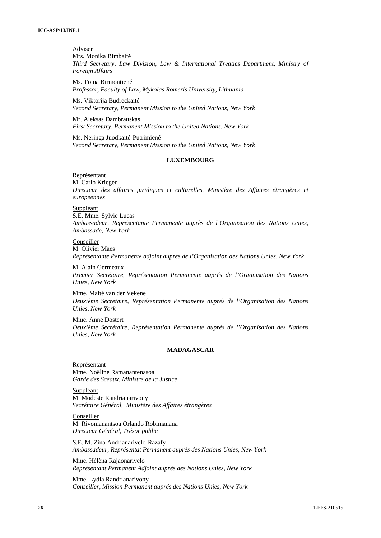# Adviser

Mrs. Monika Bimbaitė *Third Secretary, Law Division, Law & International Treaties Department, Ministry of Foreign Affairs*

Ms. Toma Birmontiené *Professor, Faculty of Law, Mykolas Romeris University, Lithuania*

Ms. Viktorija Budreckaité *Second Secretary, Permanent Mission to the United Nations, New York*

Mr. Aleksas Dambrauskas *First Secretary, Permanent Mission to the United Nations, New York*

Ms. Neringa Juodkaité-Putrimiené *Second Secretary, Permanent Mission to the United Nations, New York*

### **LUXEMBOURG**

Représentant

M. Carlo Krieger *Directeur des affaires juridiques et culturelles, Ministère des Affaires étrangères et européennes*

Suppléant

S.E. Mme. Sylvie Lucas *Ambassadeur, Représentante Permanente auprès de l'Organisation des Nations Unies, Ambassade, New York*

#### Conseiller

M. Olivier Maes *Représentante Permanente adjoint auprès de l'Organisation des Nations Unies, New York*

M. Alain Germeaux *Premier Secrétaire, Représentation Permanente auprés de l'Organisation des Nations Unies, New York*

Mme. Maité van der Vekene *Deuxième Secrétaire*, *Représentation Permanente auprés de l'Organisation des Nations Unies, New York*

Mme. Anne Dostert *Deuxième Secrétaire, Représentation Permanente auprés de l'Organisation des Nations Unies, New York*

#### **MADAGASCAR**

Représentant Mme. Noëline Ramanantenasoa *Garde des Sceaux, Ministre de la Justice*

Suppléant M. Modeste Randrianarivony *Secrétaire Général, Ministère des Affaires étrangères*

Conseiller M. Rivomanantsoa Orlando Robimanana *Directeur Général, Trésor public*

S.E. M. Zina Andrianarivelo-Razafy *Ambassadeur, Représentat Permanent auprés des Nations Unies, New York*

Mme. Hélèna Rajaonarivelo *Représentant Permanent Adjoint auprés des Nations Unies, New York*

Mme. Lydia Randrianarivony *Conseiller, Mission Permanent auprés des Nations Unies, New York*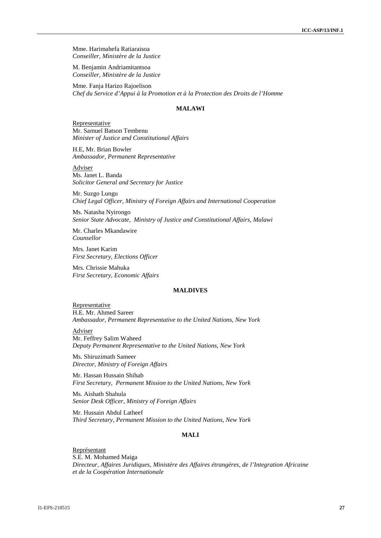Mme. Harimahefa Ratiaraisoa *Conseiller, Ministère de la Justice*

M. Benjamin Andriamitantsoa *Conseiller, Ministère de la Justice*

Mme. Fanja Harizo Rajoelison *Chef du Service d'Appui à la Promotion et à la Protection des Droits de l'Homme*

# **MALAWI**

Representative Mr. Samuel Batson Tembenu *Minister of Justice and Constitutional Affairs*

H.E, Mr. Brian Bowler *Ambassador, Permanent Representative*

Adviser Ms. Janet L. Banda *Solicitor General and Secretary for Justice*

Mr. Suzgo Lungu *Chief Legal Officer, Ministry of Foreign Affairs and International Cooperation*

Ms. Natasha Nyirongo *Senior State Advocate, Ministry of Justice and Constitutional Affairs, Malawi*

Mr. Charles Mkandawire *Counsellor*

Mrs. Janet Karim *First Secretary, Elections Officer*

Mrs. Chrissie Mahuka *First Secretary, Economic Affairs*

#### **MALDIVES**

Representative H.E. Mr. Ahmed Sareer *Ambassador, Permanent Representative to the United Nations, New York*

Adviser

Mr. Feffrey Salim Waheed *Deputy Permanent Representative to the United Nations, New York*

Ms. Shiruzimath Sameer *Director, Ministry of Foreign Affairs*

Mr. Hassan Hussain Shihab *First Secretary, Permanent Mission to the United Nations, New York*

Ms. Aishath Shahula *Senior Desk Officer, Ministry of Foreign Affairs*

Mr. Hussain Abdul Latheef *Third Secretary, Permanent Mission to the United Nations, New York*

#### **MALI**

Représentant S.E. M. Mohamed Maiga *Directeur, Affaires Juridiques, Ministère des Affaires étrangères, de l'Integration Africaine et de la Coopération Internationale*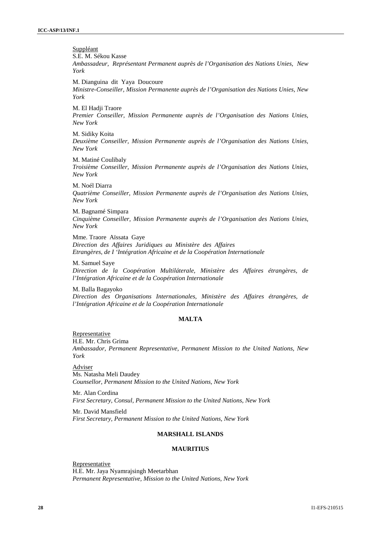*New York*

**Suppléant** S.E. M. Sékou Kasse *Ambassadeur, Représentant Permanent auprès de l'Organisation des Nations Unies, New York* M. Dianguina dit Yaya Doucoure *Ministre-Conseiller, Mission Permanente auprès de l'Organisation des Nations Unies, New York* M. El Hadji Traore *Premier Conseiller, Mission Permanente auprès de l'Organisation des Nations Unies, New York* M. Sidiky Koita *Deuxième Conseiller, Mission Permanente auprès de l'Organisation des Nations Unies,*

M. Matiné Coulibaly *Troisième Conseiller, Mission Permanente auprès de l'Organisation des Nations Unies, New York*

M. Noél Diarra *Quatrième Conseiller, Mission Permanente auprès de l'Organisation des Nations Unies, New York*

M. Bagnamé Simpara *Cinquième Conseiller, Mission Permanente auprès de l'Organisation des Nations Unies, New York*

Mme. Traore Aïssata Gaye *Direction des Affaires Juridiques au Ministère des Affaires Etrangères, de I 'Intégration Africaine et de la Coopération Internationale*

M. Samuel Saye *Direction de la Coopération Multiláterale, Ministère des Affaires étrangères, de l'Intégration Africaine et de la Coopération Internationale*

M. Balla Bagayoko *Direction des Organisations Internationales, Ministère des Affaires étrangères, de l'Intégration Africaine et de la Coopération Internationale*

#### **MALTA**

Representative H.E. Mr. Chris Grima *Ambassador, Permanent Representative, Permanent Mission to the United Nations, New York*

Adviser Ms. Natasha Meli Daudey *Counsellor, Permanent Mission to the United Nations, New York*

Mr. Alan Cordina *First Secretary, Consul, Permanent Mission to the United Nations, New York*

Mr. David Mansfield *First Secretary, Permanent Mission to the United Nations, New York*

#### **MARSHALL ISLANDS**

#### **MAURITIUS**

Representative H.E. Mr. Jaya Nyamrajsingh Meetarbhan *Permanent Representative, Mission to the United Nations, New York*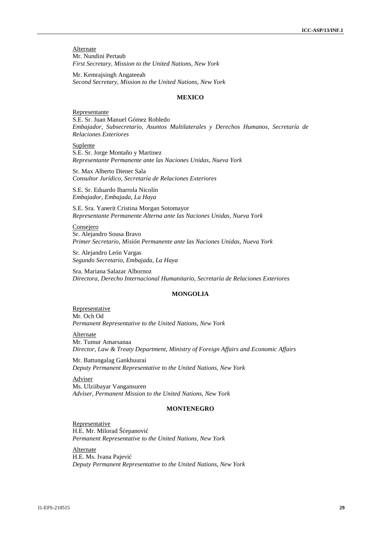**Alternate** Mr. Nundini Pertaub *First Secretary, Mission to the United Nations, New York*

Mr. Kemrajsingh Angateeah *Second Secretary, Mission to the United Nations, New York*

#### **MEXICO**

Representante S.E. Sr. Juan Manuel Gómez Robledo *Embajador, Subsecretario, Asuntos Multilaterales y Derechos Humanos, Secretaría de Relaciones Exteriores*

Suplente S.E. Sr. Jorge Montaño y Martinez *Representante Permanente ante las Naciones Unidas, Nueva York*

Sr. Max Alberto Diener Sala *Consultor Jurídico, Secretaría de Relaciones Exteriores*

S.E. Sr. Eduardo Ibarrola Nicolín *Embajador, Embajada, La Haya*

S.E. Sra. Yanerit Cristina Morgan Sotomayor *Representante Permanente Alterna ante las Naciones Unidas, Nueva York*

Consejero Sr. Alejandro Sousa Bravo *Primer Secretario, Misión Permanente ante las Naciones Unidas, Nueva York*

Sr. Alejandro León Vargas *Segundo Secretario, Embajada, La Haya*

Sra. Mariana Salazar Albornoz *Directora, Derecho Internacional Humanitario, Secretaría de Relaciones Exteriores*

### **MONGOLIA**

Representative Mr. Och Od *Permanent Representative to the United Nations, New York*

Alternate Mr. Tumur Amarsanaa *Director, Law & Treaty Department, Ministry of Foreign Affairs and Economic Affairs*

Mr. Battungalag Gankhuurai *Deputy Permanent Representative to the United Nations, New York*

**Adviser** Ms. Ulziibayar Vangansuren *Adviser, Permanent Mission to the United Nations, New York*

### **MONTENEGRO**

Representative H.E. Mr. Milorad Šepanovi *Permanent Representative to the United Nations, New York*

**Alternate** H.E. Ms. Ivana Pajevi *Deputy Permanent Representative to the United Nations, New York*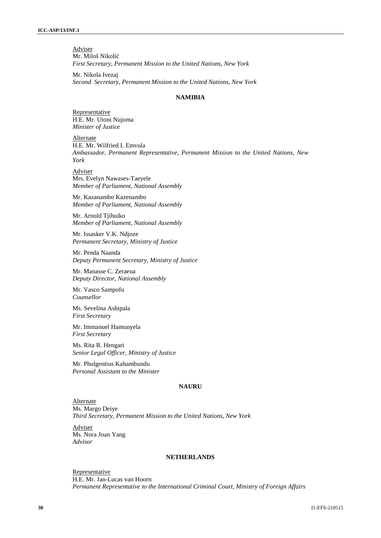Adviser Mr. Miloš Nikoli *First Secretary, Permanent Mission to the United Nations, New York*

Mr. Nikola Ivezaj *Second Secretary, Permanent Mission to the United Nations, New York*

#### **NAMIBIA**

Representative H.E. Mr. Utoni Nujoma *Minister of Justice*

Alternate H.E. Mr. Wilfried I. Emvula *Ambassador, Permanent Representative, Permanent Mission to the United Nations, New York*

Adviser Mrs. Evelyn Nawases-Taeyele *Member of Parliament, National Assembly*

Mr. Kazanambo Kazenambo *Member of Parliament, National Assembly*

Mr. Arnold Tjihuiko *Member of Parliament, National Assembly*

Mr. Issasker V.K. Ndjoze *Permanent Secretary, Ministry of Justice*

Mr. Penda Naanda *Deputy Permanent Secretary, Ministry of Justice*

Mr. Manasse C. Zeraeua *Deputy Director, National Assembly*

Mr. Vasco Sampofu *Counsellor*

Ms. Sevelina Ashipala *First Secretary*

Mr. Immanuel Hamunyela *First Secretary*

Ms. Rita R. Hengari *Senior Legal Officer, Ministry of Justice*

Mr. Phulgentius Kahambundu *Personal Assistant to the Minister*

# **NAURU**

Alternate Ms. Margo Deiye *Third Secretary, Permanent Mission to the United Nations, New York*

Adviser Ms. Nora Joan Yang *Advisor*

### **NETHERLANDS**

**Representative** H.E. Mr. Jan-Lucas van Hoorn *Permanent Representative to the International Criminal Court, Ministry of Foreign Affairs*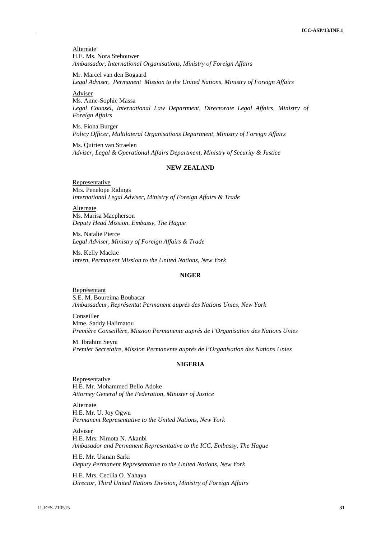**Alternate** H.E. Ms. Nora Stehouwer *Ambassador, International Organisations, Ministry of Foreign Affairs*

Mr. Marcel van den Bogaard *Legal Adviser, Permanent Mission to the United Nations, Ministry of Foreign Affairs*

Adviser

Ms. Anne-Sophie Massa *Legal Counsel, International Law Department, Directorate Legal Affairs, Ministry of Foreign Affairs*

Ms. Fiona Burger *Policy Officer, Multilateral Organisations Department, Ministry of Foreign Affairs*

Ms. Quirien van Straelen *Adviser, Legal & Operational Affairs Department, Ministry of Security & Justice*

# **NEW ZEALAND**

Representative Mrs. Penelope Ridings *International Legal Adviser, Ministry of Foreign Affairs & Trade*

Alternate Ms. Marisa Macpherson *Deputy Head Mission, Embassy, The Hague*

Ms. Natalie Pierce *Legal Adviser, Ministry of Foreign Affairs & Trade*

Ms. Kelly Mackie *Intern, Permanent Mission to the United Nations, New York*

#### **NIGER**

Représentant S.E. M. Boureima Boubacar *Ambassadeur, Représentat Permanent auprés des Nations Unies, New York*

Conseiller Mme. Saddy Halimatou *Première Conseillère, Mission Permanente auprés de l'Organisation des Nations Unies*

M. Ibrahim Seyni *Premier Secretaire, Mission Permanente auprés de l'Organisation des Nations Unies*

#### **NIGERIA**

Representative H.E. Mr. Mohammed Bello Adoke *Attorney General of the Federation, Minister of Justice*

Alternate H.E. Mr. U. Joy Ogwu *Permanent Representative to the United Nations, New York*

Adviser H.E. Mrs. Nimota N. Akanbi *Ambasador and Permanent Representative to the ICC, Embassy, The Hague*

H.E. Mr. Usman Sarki *Deputy Permanent Representative to the United Nations, New York*

H.E. Mrs. Cecilia O. Yahaya *Director, Third United Nations Division, Ministry of Foreign Affairs*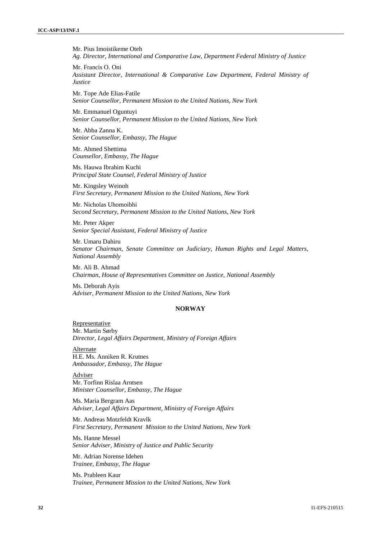Mr. Pius Imoistikeme Oteh *Ag. Director, International and Comparative Law, Department Federal Ministry of Justice*

Mr. Francis O. Oni *Assistant Director, International & Comparative Law Department, Federal Ministry of Justice*

Mr. Tope Ade Elias-Fatile *Senior Counsellor, Permanent Mission to the United Nations, New York*

Mr. Emmanuel Oguntuyi *Senior Counsellor, Permanent Mission to the United Nations, New York*

Mr. Abba Zanna K. *Senior Counsellor, Embassy, The Hague*

Mr. Ahmed Shettima *Counsellor, Embassy, The Hague*

Ms. Hauwa Ibrahim Kuchi *Principal State Counsel, Federal Ministry of Justice*

Mr. Kingsley Weinoh *First Secretary, Permanent Mission to the United Nations, New York*

Mr. Nicholas Uhomoibhi *Second Secretary, Permanent Mission to the United Nations, New York*

Mr. Peter Akper *Senior Special Assistant, Federal Ministry of Justice*

Mr. Umaru Dahiru *Senator Chairman, Senate Committee on Judiciary, Human Rights and Legal Matters, National Assembly*

Mr. Ali B. Ahmad *Chairman, House of Representatives Committee on Justice, National Assembly*

Ms. Deborah Ayis *Adviser, Permanent Mission to the United Nations, New York*

#### **NORWAY**

Representative Mr. Martin Sørby *Director, Legal Affairs Department, Ministry of Foreign Affairs*

Alternate H.E. Ms. Anniken R. Krutnes *Ambassador, Embassy, The Hague*

Adviser Mr. Torfinn Rislaa Arntsen *Minister Counsellor, Embassy, The Hague*

Ms. Maria Bergram Aas *Adviser, Legal Affairs Department, Ministry of Foreign Affairs*

Mr. Andreas Motzfeldt Kravlk *First Secretary, Permanent Mission to the United Nations, New York*

Ms. Hanne Messel *Senior Adviser, Ministry of Justice and Public Security*

Mr. Adrian Norense Idehen *Trainee, Embassy, The Hague*

Ms. Prableen Kaur *Trainee, Permanent Mission to the United Nations, New York*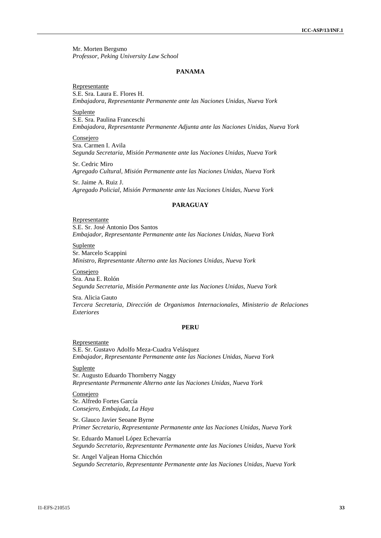Mr. Morten Bergsmo *Professor, Peking University Law School*

#### **PANAMA**

Representante S.E. Sra. Laura E. Flores H. *Embajadora, Representante Permanente ante las Naciones Unidas, Nueva York*

Suplente S.E. Sra. Paulina Franceschi *Embajadora, Representante Permanente Adjunta ante las Naciones Unidas, Nueva York*

Consejero Sra. Carmen I. Avila *Segunda Secretaria, Misión Permanente ante las Naciones Unidas, Nueva York*

Sr. Cedric Miro *Agregado Cultural, Misión Permanente ante las Naciones Unidas, Nueva York*

Sr. Jaime A. Ruiz J. *Agregado Policial, Misión Permanente ante las Naciones Unidas, Nueva York*

### **PARAGUAY**

Representante S.E. Sr. José Antonio Dos Santos *Embajador, Representante Permanente ante las Naciones Unidas, Nueva York*

Suplente Sr. Marcelo Scappini *Ministro, Representante Alterno ante las Naciones Unidas, Nueva York*

Consejero Sra. Ana E. Rolón *Segunda Secretaria, Misión Permanente ante las Naciones Unidas, Nueva York*

Sra. Alicia Gauto *Tercera Secretaria, Dirección de Organismos Internacionales, Ministerio de Relaciones Exteriores*

### **PERU**

Representante S.E. Sr. Gustavo Adolfo Meza-Cuadra Velásquez *Embajador, Representante Permanente ante las Naciones Unidas, Nueva York*

Suplente Sr. Augusto Eduardo Thornberry Naggy *Representante Permanente Alterno ante las Naciones Unidas, Nueva York*

Consejero Sr. Alfredo Fortes García *Consejero, Embajada, La Haya*

Sr. Glauco Javier Seoane Byrne *Primer Secretario, Representante Permanente ante las Naciones Unidas, Nueva York*

Sr. Eduardo Manuel López Echevarría *Segundo Secretario, Representante Permanente ante las Naciones Unidas, Nueva York*

Sr. Angel Valjean Horna Chicchón *Segundo Secretario, Representante Permanente ante las Naciones Unidas, Nueva York*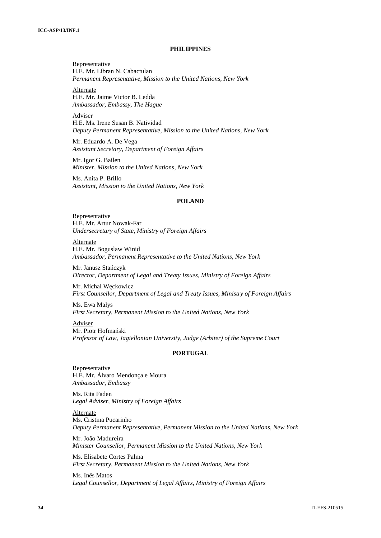#### **PHILIPPINES**

Representative H.E. Mr. Libran N. Cabactulan *Permanent Representative, Mission to the United Nations, New York*

Alternate H.E. Mr. Jaime Victor B. Ledda *Ambassador, Embassy, The Hague*

Adviser H.E. Ms. Irene Susan B. Natividad *Deputy Permanent Representative, Mission to the United Nations, New York*

Mr. Eduardo A. De Vega *Assistant Secretary, Department of Foreign Affairs*

Mr. Igor G. Bailen *Minister, Mission to the United Nations, New York*

Ms. Anita P. Brillo *Assistant, Mission to the United Nations, New York*

## **POLAND**

Representative H.E. Mr. Artur Nowak-Far *Undersecretary of State, Ministry of Foreign Affairs*

Alternate H.E. Mr. Boguslaw Winid *Ambassador, Permanent Representative to the United Nations, New York*

Mr. Janusz Sta czyk *Director*, *Department of Legal and Treaty Issues, Ministry of Foreign Affairs*

Mr. Michal W ckowicz *First Counsellor, Department of Legal and Treaty Issues, Ministry of Foreign Affairs*

Ms. Ewa Małys *First Secretary*, *Permanent Mission to the United Nations, New York*

Adviser Mr. Piotr Hofma ski *Professor of Law, Jagiellonian University, Judge (Arbiter) of the Supreme Court*

# **PORTUGAL**

Representative H.E. Mr. Álvaro Mendonça e Moura *Ambassador, Embassy*

Ms. Rita Faden *Legal Adviser, Ministry of Foreign Affairs*

Alternate Ms. Cristina Pucarinho *Deputy Permanent Representative, Permanent Mission to the United Nations, New York*

Mr. João Madureira *Minister Counsellor, Permanent Mission to the United Nations, New York*

Ms. Elisabete Cortes Palma *First Secretary, Permanent Mission to the United Nations, New York*

Ms. Inês Matos *Legal Counsellor, Department of Legal Affairs, Ministry of Foreign Affairs*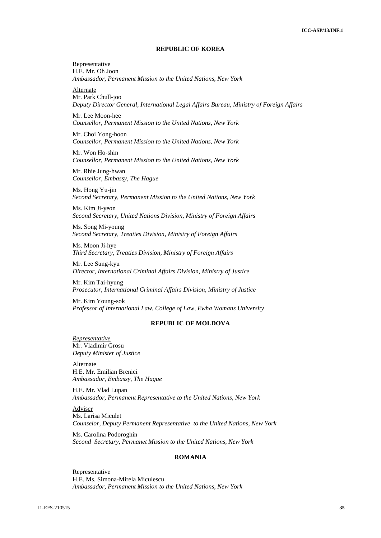#### **REPUBLIC OF KOREA**

Representative H.E. Mr. Oh Joon *Ambassador, Permanent Mission to the United Nations, New York*

Alternate Mr. Park Chull-joo *Deputy Director General, International Legal Affairs Bureau, Ministry of Foreign Affairs*

Mr. Lee Moon-hee *Counsellor, Permanent Mission to the United Nations, New York*

Mr. Choi Yong-hoon *Counsellor, Permanent Mission to the United Nations, New York*

Mr. Won Ho-shin *Counsellor, Permanent Mission to the United Nations, New York*

Mr. Rhie Jung-hwan *Counsellor, Embassy, The Hague*

Ms. Hong Yu-jin *Second Secretary, Permanent Mission to the United Nations, New York*

Ms. Kim Ji-yeon *Second Secretary, United Nations Division, Ministry of Foreign Affairs*

Ms. Song Mi-young *Second Secretary, Treaties Division, Ministry of Foreign Affairs*

Ms. Moon Ji-hye *Third Secretary, Treaties Division, Ministry of Foreign Affairs*

Mr. Lee Sung-kyu *Director, International Criminal Affairs Division, Ministry of Justice*

Mr. Kim Tai-hyung *Prosecutor, International Criminal Affairs Division, Ministry of Justice*

Mr. Kim Young-sok *Professor of International Law, College of Law, Ewha Womans University*

#### **REPUBLIC OF MOLDOVA**

*Representative* Mr. Vladimir Grosu *Deputy Minister of Justice*

Alternate H.E. Mr. Emilian Brenici *Ambassador, Embassy, The Hague*

H.E. Mr. Vlad Lupan *Ambassador, Permanent Representative to the United Nations, New York*

Adviser Ms. Larisa Miculet *Counselor, Deputy Permanent Representative to the United Nations, New York*

Ms. Carolina Podoroghin *Second Secretary, Permanet Mission to the United Nations, New York*

#### **ROMANIA**

Representative H.E. Ms. Simona-Mirela Miculescu *Ambassador, Permanent Mission to the United Nations, New York*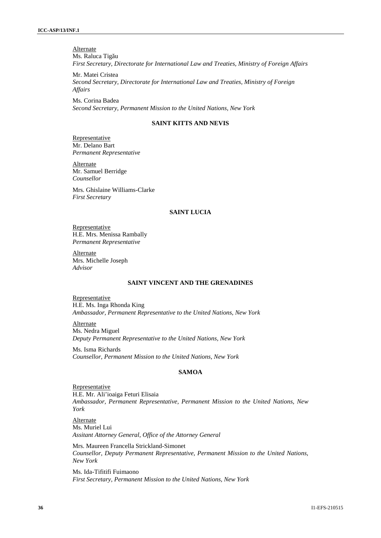**Alternate** Ms. Raluca Tig u *First Secretary, Directorate for International Law and Treaties, Ministry of Foreign Affairs*

Mr. Matei Cristea *Second Secretary, Directorate for International Law and Treaties, Ministry of Foreign Affairs*

Ms. Corina Badea *Second Secretary, Permanent Mission to the United Nations, New York*

# **SAINT KITTS AND NEVIS**

Representative Mr. Delano Bart *Permanent Representative*

**Alternate** Mr. Samuel Berridge *Counsellor*

Mrs. Ghislaine Williams-Clarke *First Secretary*

### **SAINT LUCIA**

**Representative** H.E. Mrs. Menissa Rambally *Permanent Representative*

**Alternate** Mrs. Michelle Joseph *Advisor*

# **SAINT VINCENT AND THE GRENADINES**

Representative H.E. Ms. Inga Rhonda King *Ambassador, Permanent Representative to the United Nations, New York*

Alternate Ms. Nedra Miguel *Deputy Permanent Representative to the United Nations, New York*

Ms. Isma Richards *Counsellor, Permanent Mission to the United Nations, New York*

### **SAMOA**

Representative H.E. Mr. Ali'ioaiga Feturi Elisaia *Ambassador, Permanent Representative, Permanent Mission to the United Nations, New York*

Alternate Ms. Muriel Lui *Assitant Attorney General, Office of the Attorney General*

Mrs. Maureen Francella Strickland-Simonet *Counsellor, Deputy Permanent Representative, Permanent Mission to the United Nations, New York*

Ms. Ida-Tifitifi Fuimaono *First Secretary, Permanent Mission to the United Nations, New York*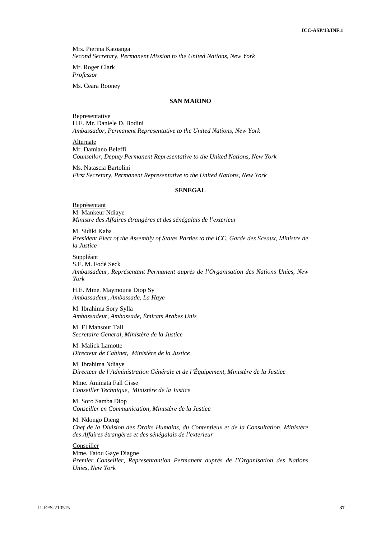Mrs. Pierina Katoanga *Second Secretary, Permanent Mission to the United Nations, New York*

Mr. Roger Clark *Professor*

Ms. Ceara Rooney

# **SAN MARINO**

Representative H.E. Mr. Daniele D. Bodini *Ambassador, Permanent Representative to the United Nations, New York*

**Alternate** Mr. Damiano Beleffi *Counsellor, Deputy Permanent Representative to the United Nations, New York*

Ms. Natascia Bartolini *First Secretary, Permanent Representative to the United Nations, New York*

#### **SENEGAL**

Représentant M. Mankeur Ndiaye *Ministre des Affaires étrangères et des sénégalais de l'exterieur*

M. Sidiki Kaba *President Elect of the Assembly of States Parties to the ICC, Garde des Sceaux, Ministre de la Justice*

Suppléant S.E. M. Fodé Seck *Ambassadeur, Représentant Permanent auprès de l'Organisation des Nations Unies, New York*

H.E. Mme. Maymouna Diop Sy *Ambassadeur, Ambassade, La Haye*

M. Ibrahima Sory Sylla *Ambassadeur, Ambassade, Émirats Arabes Unis*

M. El Mansour Tall *Secretaire General, Ministère de la Justice*

M. Malick Lamotte *Directeur de Cabinet, Ministère de la Justice*

M. Ibrahima Ndiaye *Directeur de l'Administration Générale et de l'Équipement, Ministère de la Justice*

Mme. Aminata Fall Cisse *Conseiller Technique, Ministère de la Justice*

M. Soro Samba Diop *Conseiller en Communication, Ministère de la Justice*

M. Ndongo Dieng *Chef de la Division des Droits Humains, du Contentieux et de la Consultation, Ministère des Affaires étrangères et des sénégalais de l'exterieur*

**Conseiller** Mme. Fatou Gaye Diagne *Premier Conseiller, Representantion Permanent auprès de l'Organisation des Nations Unies, New York*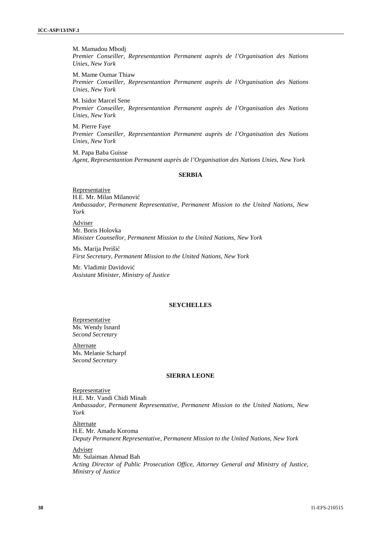M. Mamadou Mbodj *Premier Conseiller, Representantion Permanent auprès de l'Organisation des Nations Unies, New York*

M. Mame Oumar Thiaw *Premier Conseiller, Representantion Permanent auprès de l'Organisation des Nations Unies, New York*

M. Isidor Marcel Sene *Premier Conseiller, Representantion Permanent auprès de l'Organisation des Nations Unies, New York*

M. Pierre Faye *Premier Conseiller, Representantion Permanent auprès de l'Organisation des Nations Unies, New York*

M. Papa Baba Guisse *Agent, Representantion Permanent auprès de l'Organisation des Nations Unies, New York*

#### **SERBIA**

Representative H.E. Mr. Milan Milanovi *Ambassador, Permanent Representative, Permanent Mission to the United Nations, New York*

Adviser Mr. Boris Holovka *Minister Counsellor, Permanent Mission to the United Nations, New York*

Ms. Marija Periši *First Secretary, Permanent Mission to the United Nations, New York*

Mr. Vladimir Davidovi *Assistant Minister, Ministry of Justice*

### **SEYCHELLES**

Representative Ms. Wendy Isnard *Second Secretary*

Alternate Ms. Melanie Scharpf *Second Secretary*

### **SIERRA LEONE**

Representative H.E. Mr. Vandi Chidi Minah *Ambassador, Permanent Representative, Permanent Mission to the United Nations, New York*

Alternate H.E. Mr. Amadu Koroma *Deputy Permanent Representative, Permanent Mission to the United Nations, New York*

Adviser Mr. Sulaiman Ahmad Bah *Acting Director of Public Prosecution Office, Attorney General and Ministry of Justice, Ministry of Justice*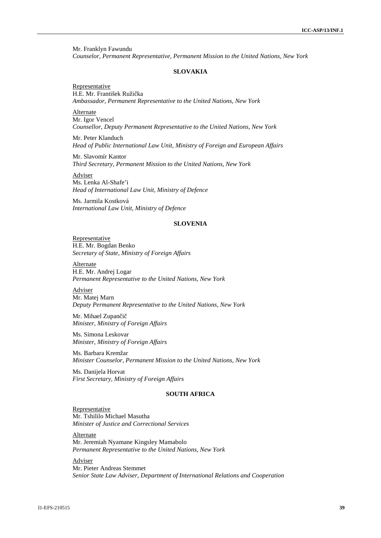Mr. Franklyn Fawundu *Counselor, Permanent Representative, Permanent Mission to the United Nations, New York*

#### **SLOVAKIA**

Representative H.E. Mr. František Ruži ka *Ambassador, Permanent Representative to the United Nations, New York*

**Alternate** Mr. Igor Vencel *Counsellor, Deputy Permanent Representative to the United Nations, New York*

Mr. Peter Klanduch *Head of Public International Law Unit, Ministry of Foreign and European Affairs*

Mr. Slavomír Kantor *Third Secretary, Permanent Mission to the United Nations, New York*

Adviser Ms. Lenka Al-Shafe'i *Head of International Law Unit, Ministry of Defence*

Ms. Jarmila Kostková *International Law Unit, Ministry of Defence*

### **SLOVENIA**

Representative H.E. Mr. Bogdan Benko *Secretary of State, Ministry of Foreign Affairs*

Alternate H.E. Mr. Andrej Logar *Permanent Representative to the United Nations, New York*

Adviser Mr. Matej Marn *Deputy Permanent Representative to the United Nations, New York*

Mr. Mihael Zupan i *Minister, Ministry of Foreign Affairs*

Ms. Simona Leskovar *Minister, Ministry of Foreign Affairs*

Ms. Barbara Kremžar *Minister Counselor, Permanent Mission to the United Nations, New York*

Ms. Danijela Horvat *First Secretary, Ministry of Foreign Affairs*

# **SOUTH AFRICA**

Representative Mr. Tshililo Michael Masutha *Minister of Justice and Correctional Services*

Alternate Mr. Jeremiah Nyamane Kingsley Mamabolo *Permanent Representative to the United Nations, New York*

Adviser Mr. Pieter Andreas Stemmet *Senior State Law Adviser, Department of International Relations and Cooperation*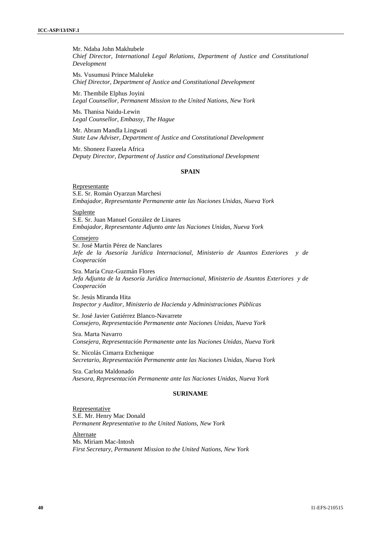Mr. Ndaba John Makhubele *Chief Director, International Legal Relations, Department of Justice and Constitutional Development*

Ms. Vusumusi Prince Maluleke *Chief Director, Department of Justice and Constitutional Development*

Mr. Thembile Elphus Joyini *Legal Counsellor, Permanent Mission to the United Nations, New York*

Ms. Thanisa Naidu-Lewin *Legal Counsellor, Embassy, The Hague*

Mr. Abram Mandla Lingwati *State Law Adviser, Department of Justice and Constitutional Development*

Mr. Shoneez Fazeela Africa *Deputy Director, Department of Justice and Constitutional Development*

### **SPAIN**

#### Representante

S.E. Sr. Román Oyarzun Marchesi *Embajador, Representante Permanente ante las Naciones Unidas, Nueva York*

Suplente

S.E. Sr. Juan Manuel González de Linares *Embajador, Representante Adjunto ante las Naciones Unidas, Nueva York*

# Consejero

Sr. José Martín Pérez de Nanclares *Jefe de la Asesoría Jurídica Internacional, Ministerio de Asuntos Exteriores y de Cooperación*

Sra. María Cruz-Guzmán Flores *Jefa Adjunta de la Asesoría Jurídica Internacional, Ministerio de Asuntos Exteriores y de Cooperación*

Sr. Jesús Miranda Hita *Inspector y Auditor, Ministerio de Hacienda y Administraciones Públicas*

Sr. José Javier Gutiérrez Blanco-Navarrete *Consejero, Representación Permanente ante Naciones Unidas, Nueva York*

Sra. Marta Navarro *Consejera, Representación Permanente ante las Naciones Unidas, Nueva York*

Sr. Nicolás Cimarra Etchenique *Secretario, Representación Permanente ante las Naciones Unidas, Nueva York*

Sra. Carlota Maldonado *Asesora, Representación Permanente ante las Naciones Unidas, Nueva York*

### **SURINAME**

Representative S.E. Mr. Henry Mac Donald *Permanent Representative to the United Nations, New York*

**Alternate** Ms. Miriam Mac-Intosh *First Secretary, Permanent Mission to the United Nations, New York*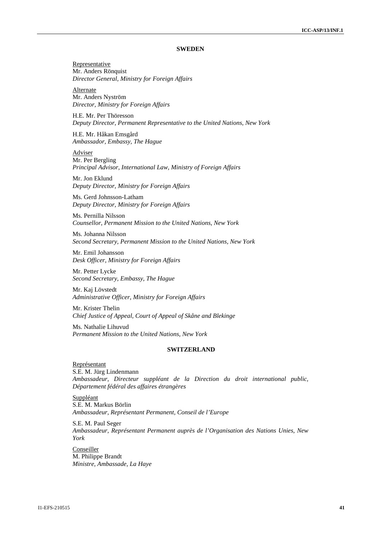#### **SWEDEN**

Representative Mr. Anders Rönquist *Director General, Ministry for Foreign Affairs*

Alternate Mr. Anders Nyström *Director, Ministry for Foreign Affairs*

H.E. Mr. Per Thöresson *Deputy Director, Permanent Representative to the United Nations, New York*

H.E. Mr. Håkan Emsgård *Ambassador, Embassy, The Hague*

Adviser Mr. Per Bergling *Principal Advisor, International Law, Ministry of Foreign Affairs*

Mr. Jon Eklund *Deputy Director, Ministry for Foreign Affairs*

Ms. Gerd Johnsson-Latham *Deputy Director, Ministry for Foreign Affairs*

Ms. Pernilla Nilsson *Counsellor, Permanent Mission to the United Nations, New York*

Ms. Johanna Nilsson *Second Secretary, Permanent Mission to the United Nations, New York*

Mr. Emil Johansson *Desk Officer, Ministry for Foreign Affairs*

Mr. Petter Lycke *Second Secretary, Embassy, The Hague*

Mr. Kaj Lövstedt *Administrative Officer, Ministry for Foreign Affairs*

Mr. Krister Thelin *Chief Justice of Appeal, Court of Appeal of Skåne and Blekinge*

Ms. Nathalie Lihuvud *Permanent Mission to the United Nations, New York*

#### **SWITZERLAND**

Représentant S.E. M. Jürg Lindenmann *Ambassadeur, Directeur suppléant de la Direction du droit international public, Département fédéral des affaires étrangères*

Suppléant S.E. M. Markus Börlin *Ambassadeur, Représentant Permanent, Conseil de l'Europe*

S.E. M. Paul Seger *Ambassadeur, Représentant Permanent auprès de l'Organisation des Nations Unies, New York*

Conseiller M. Philippe Brandt *Ministre, Ambassade, La Haye*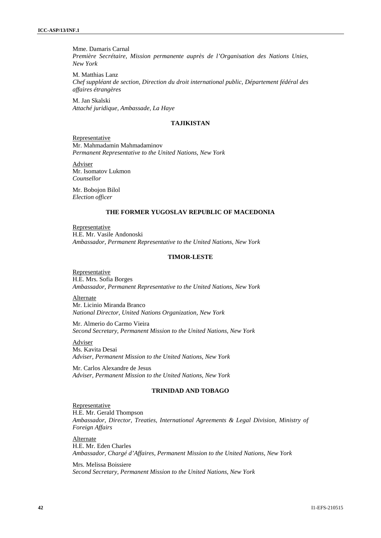Mme. Damaris Carnal *Première Secrétaire, Mission permanente auprès de l'Organisation des Nations Unies, New York*

M. Matthias Lanz *Chef suppléant de section, Direction du droit international public, Département fédéral des affaires étrangères*

M. Jan Skalski *Attaché juridique, Ambassade, La Haye*

#### **TAJIKISTAN**

Representative Mr. Mahmadamin Mahmadaminov *Permanent Representative to the United Nations, New York*

Adviser Mr. Isomatov Lukmon *Counsellor*

Mr. Bobojon Bilol *Election officer*

### **THE FORMER YUGOSLAV REPUBLIC OF MACEDONIA**

Representative H.E. Mr. Vasile Andonoski *Ambassador, Permanent Representative to the United Nations, New York*

#### **TIMOR-LESTE**

Representative H.E. Mrs. Sofia Borges *Ambassador, Permanent Representative to the United Nations, New York*

Alternate Mr. Licinio Miranda Branco *National Director, United Nations Organization, New York*

Mr. Almerio do Carmo Vieira *Second Secretary, Permanent Mission to the United Nations, New York*

Adviser Ms. Kavita Desai *Adviser, Permanent Mission to the United Nations, New York*

Mr. Carlos Alexandre de Jesus *Adviser, Permanent Mission to the United Nations, New York*

### **TRINIDAD AND TOBAGO**

Representative H.E. Mr. Gerald Thompson *Ambassador, Director, Treaties, International Agreements & Legal Division, Ministry of Foreign Affairs*

Alternate H.E. Mr. Eden Charles *Ambassador, Chargé d'Affaires, Permanent Mission to the United Nations, New York*

Mrs. Melissa Boissiere *Second Secretary, Permanent Mission to the United Nations, New York*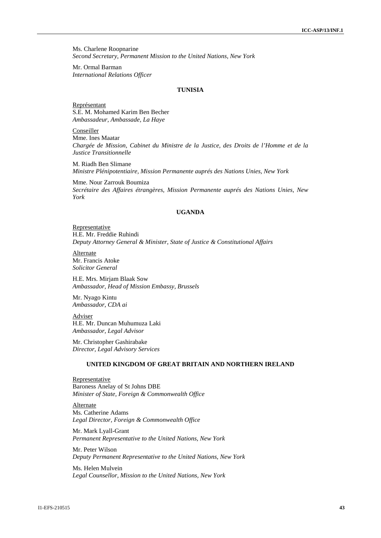Ms. Charlene Roopnarine *Second Secretary, Permanent Mission to the United Nations, New York*

Mr. Ormal Barman *International Relations Officer*

#### **TUNISIA**

Représentant S.E. M. Mohamed Karim Ben Becher *Ambassadeur, Ambassade, La Haye*

Conseiller Mme. Ines Maatar *Chargée de Mission, Cabinet du Ministre de la Justice, des Droits de l'Homme et de la Justice Transitionnelle*

M. Riadh Ben Slimane *Ministre Plénipotentiaire, Mission Permanente auprés des Nations Unies, New York*

Mme. Nour Zarrouk Boumiza *Secrétaire des Affaires étrangères, Mission Permanente auprés des Nations Unies, New York*

# **UGANDA**

Representative H.E. Mr. Freddie Ruhindi *Deputy Attorney General & Minister, State of Justice & Constitutional Affairs*

Alternate Mr. Francis Atoke *Solicitor General*

H.E. Mrs. Mirjam Blaak Sow *Ambassador, Head of Mission Embassy, Brussels*

Mr. Nyago Kintu *Ambassador, CDA ai*

Adviser H.E. Mr. Duncan Muhumuza Laki *Ambassador, Legal Advisor*

Mr. Christopher Gashirabake *Director, Legal Advisory Services*

#### **UNITED KINGDOM OF GREAT BRITAIN AND NORTHERN IRELAND**

Representative Baroness Anelay of St Johns DBE *Minister of State, Foreign & Commonwealth Office*

Alternate Ms. Catherine Adams *Legal Director, Foreign & Commonwealth Office*

Mr. Mark Lyall-Grant *Permanent Representative to the United Nations, New York*

Mr. Peter Wilson *Deputy Permanent Representative to the United Nations, New York*

Ms. Helen Mulvein *Legal Counsellor, Mission to the United Nations, New York*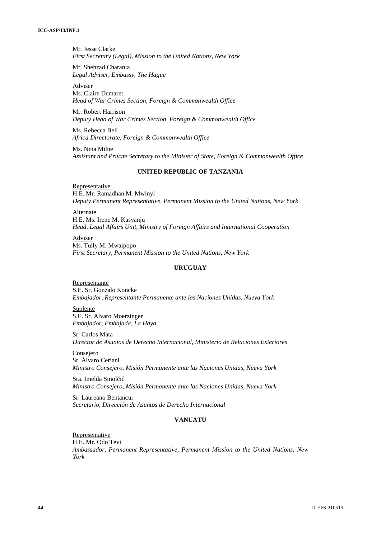Mr. Jesse Clarke *First Secretary (Legal), Mission to the United Nations, New York*

Mr. Shehzad Charania *Legal Adviser, Embassy, The Hague*

Adviser Ms. Claire Demaret *Head of War Crimes Section, Foreign & Commonwealth Office*

Mr. Robert Harrison *Deputy Head of War Crimes Section, Foreign & Commonwealth Office*

Ms. Rebecca Bell *Africa Directorate, Foreign & Commonwealth Office*

Ms. Nina Milne *Assistant and Private Secretary to the Minister of State, Foreign & Commonwealth Office*

# **UNITED REPUBLIC OF TANZANIA**

Representative H.E. Mr. Ramadhan M. Mwinyl *Deputy Permanent Representative, Permanent Mission to the United Nations, New York*

Alternate H.E. Ms. Irene M. Kasyanju *Head, Legal Affairs Unit, Ministry of Foreign Affairs and International Cooperation*

Adviser Ms. Tully M. Mwaipopo *First Secretary, Permanent Mission to the United Nations, New York*

### **URUGUAY**

Representante S.E. Sr. Gonzalo Koncke *Embajador, Representante Permanente ante las Naciones Unidas, Nueva York*

**Suplente** S.E. Sr. Alvaro Moerzinger *Embajador, Embajada, La Haya*

Sr. Carlos Mata *Director de Asuntos de Derecho Internacional, Ministerio de Relaciones Exteriores*

Consejero Sr. Álvaro Ceriani *Ministro Consejero, Misión Permanente ante las Naciones Unidas, Nueva York*

Sra. Imelda Smol i *Ministro Consejero, Misión Permanente ante las Naciones Unidas, Nueva York*

Sr. Laureano Bentancur *Secretario, Dirección de Asuntos de Derecho Internacional*

# **VANUATU**

Representative H.E. Mr. Odo Tevi *Ambassador, Permanent Representative, Permanent Mission to the United Nations, New York*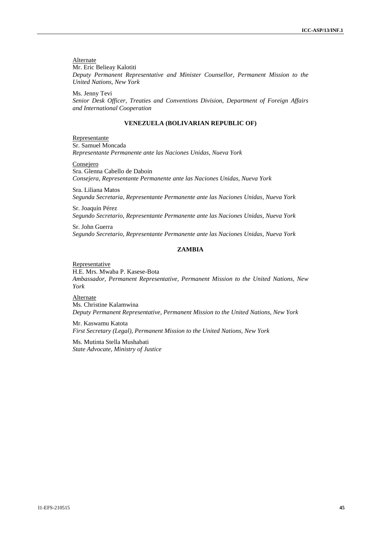Alternate Mr. Eric Belieay Kalotiti *Deputy Permanent Representative and Minister Counsellor, Permanent Mission to the United Nations, New York*

Ms. Jenny Tevi *Senior Desk Officer, Treaties and Conventions Division, Department of Foreign Affairs and International Cooperation*

#### **VENEZUELA (BOLIVARIAN REPUBLIC OF)**

Representante Sr. Samuel Moncada *Representante Permanente ante las Naciones Unidas, Nueva York*

Consejero Sra. Glenna Cabello de Daboin *Consejera, Representante Permanente ante las Naciones Unidas, Nueva York*

Sra. Liliana Matos *Segunda Secretaria, Representante Permanente ante las Naciones Unidas, Nueva York*

Sr. Joaquín Pérez *Segundo Secretario, Representante Permanente ante las Naciones Unidas, Nueva York*

Sr. John Guerra *Segundo Secretario, Representante Permanente ante las Naciones Unidas, Nueva York*

### **ZAMBIA**

Representative

H.E. Mrs. Mwaba P. Kasese-Bota *Ambassador, Permanent Representative, Permanent Mission to the United Nations, New York*

Alternate Ms. Christine Kalamwina *Deputy Permanent Representative, Permanent Mission to the United Nations, New York*

Mr. Kaswamu Katota *First Secretary (Legal), Permanent Mission to the United Nations, New York*

Ms. Mutinta Stella Mushabati *State Advocate, Ministry of Justice*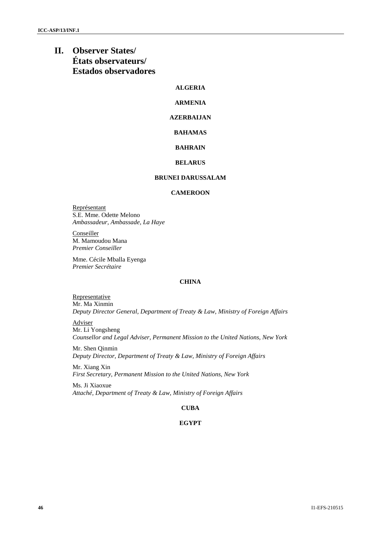# **II. Observer States/ États observateurs/ Estados observadores**

# **ALGERIA**

# **ARMENIA**

# **AZERBAIJAN**

# **BAHAMAS**

# **BAHRAIN**

### **BELARUS**

### **BRUNEI DARUSSALAM**

# **CAMEROON**

Représentant S.E. Mme. Odette Melono *Ambassadeur, Ambassade, La Haye*

**Conseiller** M. Mamoudou Mana *Premier Conseiller*

Mme. Cécile Mballa Eyenga *Premier Secrétaire*

### **CHINA**

**Representative** Mr. Ma Xinmin *Deputy Director General, Department of Treaty & Law, Ministry of Foreign Affairs*

Adviser Mr. Li Yongsheng *Counsellor and Legal Adviser, Permanent Mission to the United Nations, New York*

Mr. Shen Qinmin *Deputy Director, Department of Treaty & Law, Ministry of Foreign Affairs*

Mr. Xiang Xin *First Secretary, Permanent Mission to the United Nations, New York*

Ms. Ji Xiaoxue *Attaché, Department of Treaty & Law, Ministry of Foreign Affairs*

# **CUBA**

# **EGYPT**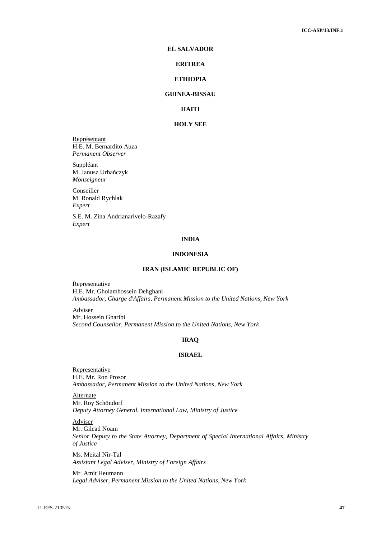### **EL SALVADOR**

### **ERITREA**

# **ETHIOPIA**

# **GUINEA-BISSAU**

# **HAITI**

# **HOLY SEE**

Représentant H.E. M. Bernardito Auza *Permanent Observer*

Suppléant M. Janusz Urba czyk *Monseigneur*

**Conseiller** M. Ronald Rychlak *Expert*

S.E. M. Zina Andrianarivelo-Razafy *Expert*

#### **INDIA**

#### **INDONESIA**

#### **IRAN (ISLAMIC REPUBLIC OF)**

Representative H.E. Mr. Gholamhossein Dehghani *Ambassador, Charge d'Affairs, Permanent Mission to the United Nations, New York*

Adviser

Mr. Hossein Gharibi *Second Counsellor, Permanent Mission to the United Nations, New York*

# **IRAQ**

# **ISRAEL**

Representative H.E. Mr. Ron Prosor *Ambassador, Permanent Mission to the United Nations, New York*

Alternate Mr. Roy Schöndorf *Deputy Attorney General, International Law, Ministry of Justice*

Adviser Mr. Gilead Noam *Senior Deputy to the State Attorney, Department of Special International Affairs, Ministry of Justice* Ms. Meital Nir-Tal

*Assistant Legal Adviser, Ministry of Foreign Affairs*

Mr. Amit Heumann *Legal Adviser, Permanent Mission to the United Nations, New York*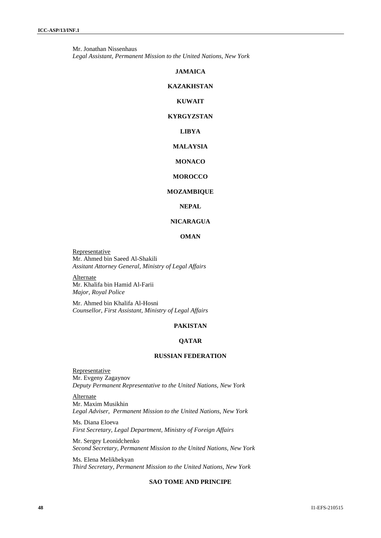Mr. Jonathan Nissenhaus *Legal Assistant, Permanent Mission to the United Nations, New York*

#### **JAMAICA**

### **KAZAKHSTAN**

# **KUWAIT**

# **KYRGYZSTAN**

# **LIBYA**

# **MALAYSIA**

# **MONACO**

# **MOROCCO**

# **MOZAMBIQUE**

# **NEPAL**

# **NICARAGUA**

# **OMAN**

**Representative** Mr. Ahmed bin Saeed Al-Shakili *Assitant Attorney General, Ministry of Legal Affairs*

Alternate Mr. Khalifa bin Hamid Al-Farii *Major, Royal Police*

Mr. Ahmed bin Khalifa Al-Hosni *Counsellor, First Assistant, Ministry of Legal Affairs*

# **PAKISTAN**

# **QATAR**

# **RUSSIAN FEDERATION**

**Representative** Mr. Evgeny Zagaynov *Deputy Permanent Representative to the United Nations, New York*

Alternate Mr. Maxim Musikhin *Legal Adviser, Permanent Mission to the United Nations, New York*

Ms. Diana Eloeva *First Secretary, Legal Department, Ministry of Foreign Affairs*

Mr. Sergey Leonidchenko *Second Secretary, Permanent Mission to the United Nations, New York*

Ms. Elena Melikbekyan *Third Secretary, Permanent Mission to the United Nations, New York*

# **SAO TOME AND PRINCIPE**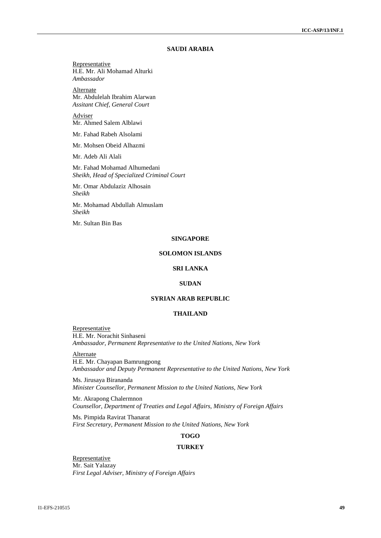# **SAUDI ARABIA**

Representative H.E. Mr. Ali Mohamad Alturki *Ambassador*

Alternate Mr. Abdulelah Ibrahim Alarwan *Assitant Chief, General Court*

Adviser Mr. Ahmed Salem Alblawi

Mr. Fahad Rabeh Alsolami

Mr. Mohsen Obeid Alhazmi

Mr. Adeb Ali Alali

Mr. Fahad Mohamad Alhumedani *Sheikh, Head of Specialized Criminal Court*

Mr. Omar Abdulaziz Alhosain *Sheikh*

Mr. Mohamad Abdullah Almuslam *Sheikh*

Mr. Sultan Bin Bas

#### **SINGAPORE**

#### **SOLOMON ISLANDS**

#### **SRI LANKA**

#### **SUDAN**

# **SYRIAN ARAB REPUBLIC**

### **THAILAND**

Representative H.E. Mr. Norachit Sinhaseni *Ambassador, Permanent Representative to the United Nations, New York*

Alternate H.E. Mr. Chayapan Bamrungpong *Ambassador and Deputy Permanent Representative to the United Nations, New York*

Ms. Jirusaya Birananda *Minister Counsellor, Permanent Mission to the United Nations, New York*

Mr. Akrapong Chalermnon *Counsellor, Department of Treaties and Legal Affairs, Ministry of Foreign Affairs*

Ms. Pimpida Ravirat Thanarat *First Secretary, Permanent Mission to the United Nations, New York*

# **TOGO**

### **TURKEY**

Representative Mr. Sait Yalazay *First Legal Adviser, Ministry of Foreign Affairs*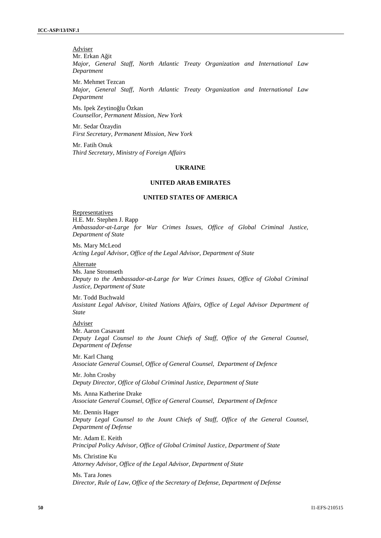Adviser Mr. Erkan A it

*Major, General Staff, North Atlantic Treaty Organization and International Law Department*

Mr. Mehmet Tezcan *Major, General Staff, North Atlantic Treaty Organization and International Law Department*

Ms. Ipek Zeytino lu Özkan *Counsellor, Permanent Mission, New York*

Mr. Sedar Özaydin *First Secretary, Permanent Mission, New York*

Mr. Fatih Onuk *Third Secretary, Ministry of Foreign Affairs*

# **UKRAINE**

#### **UNITED ARAB EMIRATES**

#### **UNITED STATES OF AMERICA**

**Representatives** H.E. Mr. Stephen J. Rapp *Ambassador-at-Large for War Crimes Issues, Office of Global Criminal Justice, Department of State*

Ms. Mary McLeod *Acting Legal Advisor, Office of the Legal Advisor, Department of State*

#### Alternate

Ms. Jane Stromseth *Deputy to the Ambassador-at-Large for War Crimes Issues, Office of Global Criminal Justice, Department of State*

Mr. Todd Buchwald *Assistant Legal Advisor, United Nations Affairs, Office of Legal Advisor Department of State*

## Adviser

Mr. Aaron Casavant *Deputy Legal Counsel to the Jount Chiefs of Staff, Office of the General Counsel, Department of Defense*

Mr. Karl Chang *Associate General Counsel, Office of General Counsel, Department of Defence*

Mr. John Crosby *Deputy Director, Office of Global Criminal Justice, Department of State*

Ms. Anna Katherine Drake *Associate General Counsel, Office of General Counsel, Department of Defence*

Mr. Dennis Hager *Deputy Legal Counsel to the Jount Chiefs of Staff, Office of the General Counsel, Department of Defense*

Mr. Adam E. Keith *Principal Policy Advisor, Office of Global Criminal Justice, Department of State*

Ms. Christine Ku *Attorney Advisor, Office of the Legal Advisor, Department of State*

Ms. Tara Jones *Director, Rule of Law, Office of the Secretary of Defense, Department of Defense*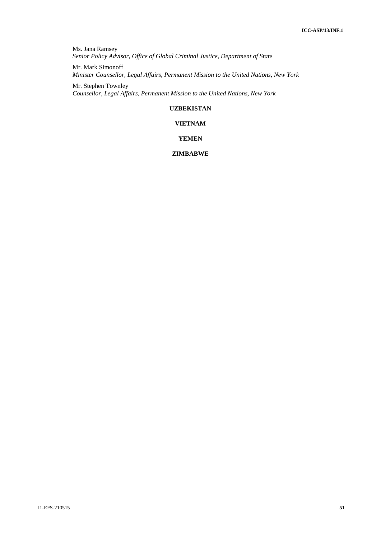Ms. Jana Ramsey *Senior Policy Advisor, Office of Global Criminal Justice, Department of State*

Mr. Mark Simonoff *Minister Counsellor, Legal Affairs, Permanent Mission to the United Nations, New York*

Mr. Stephen Townley *Counsellor, Legal Affairs, Permanent Mission to the United Nations, New York*

# **UZBEKISTAN**

# **VIETNAM**

# **YEMEN**

# **ZIMBABWE**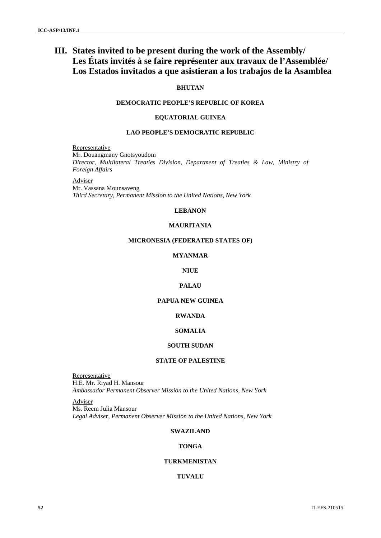# **III. States invited to be present during the work of the Assembly/ Les États invités à se faire représenter aux travaux de l'Assemblée/ Los Estados invitados a que asistieran a los trabajos de la Asamblea**

# **BHUTAN**

# **DEMOCRATIC PEOPLE'S REPUBLIC OF KOREA**

# **EQUATORIAL GUINEA**

### **LAO PEOPLE'S DEMOCRATIC REPUBLIC**

Representative Mr. Douangmany Gnotsyoudom *Director, Multilateral Treaties Division, Department of Treaties & Law, Ministry of Foreign Affairs*

Adviser

Mr. Vassana Mounsaveng *Third Secretary, Permanent Mission to the United Nations, New York*

#### **LEBANON**

#### **MAURITANIA**

# **MICRONESIA (FEDERATED STATES OF)**

# **MYANMAR**

# **NIUE**

# **PALAU**

# **PAPUA NEW GUINEA**

# **RWANDA**

# **SOMALIA**

# **SOUTH SUDAN**

### **STATE OF PALESTINE**

Representative H.E. Mr. Riyad H. Mansour *Ambassador Permanent Observer Mission to the United Nations, New York*

Adviser Ms. Reem Julia Mansour *Legal Adviser, Permanent Observer Mission to the United Nations, New York*

# **SWAZILAND**

#### **TONGA**

# **TURKMENISTAN**

#### **TUVALU**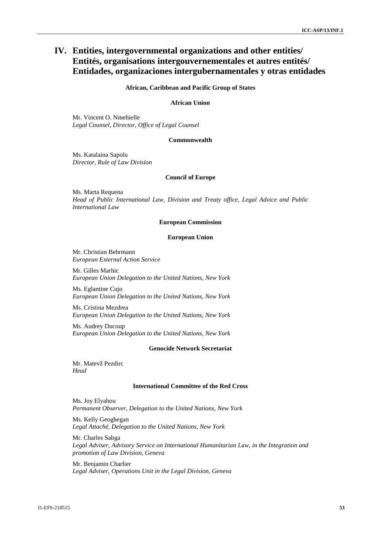# **IV. Entities, intergovernmental organizations and other entities/ Entités, organisations intergouvernementales et autres entités/ Entidades, organizaciones intergubernamentales y otras entidades**

#### **African, Caribbean and Pacific Group of States**

#### **African Union**

Mr. Vincent O. Nmehielle *Legal Counsel, Director, Office of Legal Counsel*

#### **Commonwealth**

Ms. Katalaina Sapolu *Director, Rule of Law Division*

### **Council of Europe**

Ms. Marta Requena *Head of Public International Law, Division and Treaty office, Legal Advice and Public International Law*

#### **European Commission**

### **European Union**

Mr. Christian Behrmann *European External Action Service*

Mr. Gilles Marhic *European Union Delegation to the United Nations, New York*

Ms. Eglantine Cujo *European Union Delegation to the United Nations, New York*

Ms. Cristina Mezdrea *European Union Delegation to the United Nations, New York*

Ms. Audrey Ducoup *European Union Delegation to the United Nations, New York*

### **Genocide Network Secretariat**

Mr. Matevž Pezdirc *Head*

#### **International Committee of the Red Cross**

Ms. Joy Elyahou *Permanent Observer, Delegation to the United Nations, New York*

Ms. Kelly Geoghegan *Legal Attaché, Delegation to the United Nations, New York*

Mr. Charles Sabga *Legal Adviser, Advisory Service on International Humanitarian Law, in the Integration and promotion of Law Division, Geneva*

Mr. Benjamin Charlier *Legal Adviser, Operations Unit in the Legal Division, Geneva*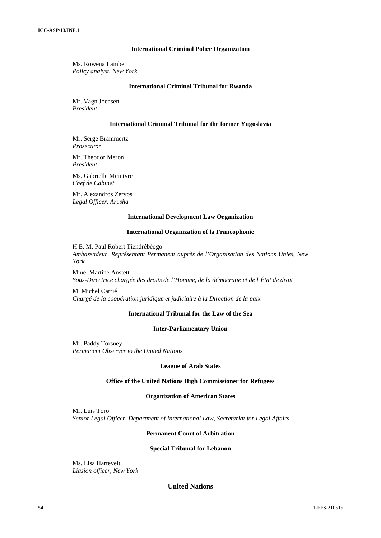#### **International Criminal Police Organization**

Ms. Rowena Lambert *Policy analyst, New York*

#### **International Criminal Tribunal for Rwanda**

Mr. Vagn Joensen *President*

#### **International Criminal Tribunal for the former Yugoslavia**

Mr. Serge Brammertz *Prosecutor*

Mr. Theodor Meron *President*

Ms. Gabrielle Mcintyre *Chef de Cabinet*

Mr. Alexandros Zervos *Legal Officer, Arusha*

#### **International Development Law Organization**

#### **International Organization of la Francophonie**

H.E. M. Paul Robert Tiendrébéogo *Ambassadeur, Représentant Permanent auprès de l'Organisation des Nations Unies, New York*

Mme. Martine Anstett *Sous-Directrice chargée des droits de l'Homme, de la démocratie et de l'État de droit*

M. Michel Carrié *Chargé de la coopération juridique et judiciaire à la Direction de la paix*

# **International Tribunal for the Law of the Sea**

### **Inter-Parliamentary Union**

Mr. Paddy Torsney *Permanent Observer to the United Nations*

#### **League of Arab States**

### **Office of the United Nations High Commissioner for Refugees**

#### **Organization of American States**

Mr. Luis Toro *Senior Legal Officer, Department of International Law, Secretariat for Legal Affairs*

### **Permanent Court of Arbitration**

#### **Special Tribunal for Lebanon**

Ms. Lisa Hartevelt *Liasion officer, New York*

# **United Nations**